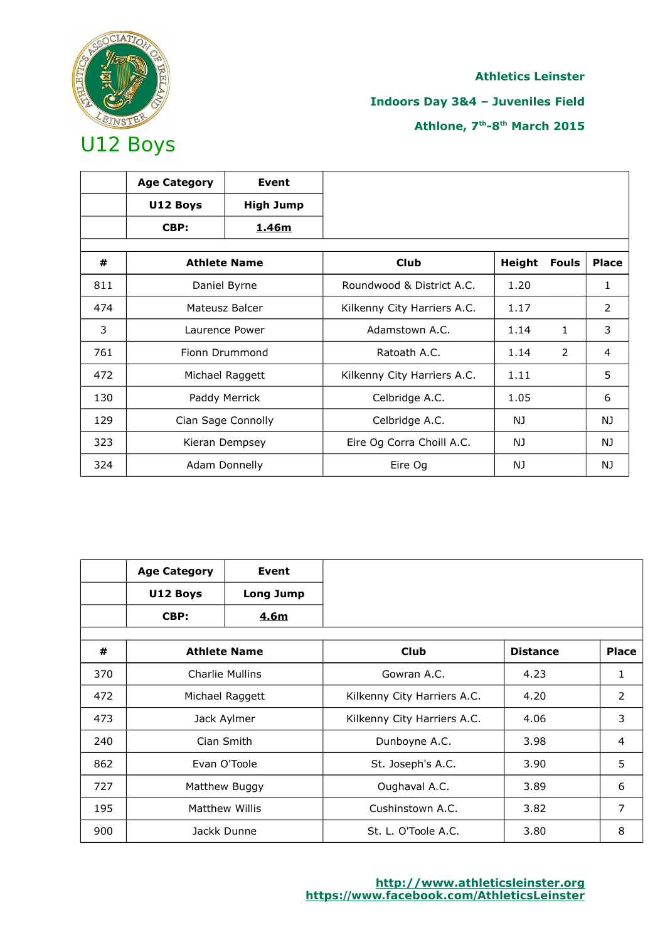

## **Indoors Day 3&4 – Juveniles Field**

|     | <b>Age Category</b> | Event                |                             |        |              |              |
|-----|---------------------|----------------------|-----------------------------|--------|--------------|--------------|
|     | U12 Boys            | <b>High Jump</b>     |                             |        |              |              |
|     | CBP:                | 1.46m                |                             |        |              |              |
|     |                     |                      |                             |        |              |              |
| #   |                     | <b>Athlete Name</b>  | <b>Club</b>                 | Height | <b>Fouls</b> | <b>Place</b> |
| 811 |                     | Daniel Byrne         | Roundwood & District A.C.   | 1.20   |              | 1            |
| 474 |                     | Mateusz Balcer       | Kilkenny City Harriers A.C. | 1.17   |              | 2            |
| 3   | Laurence Power      |                      | Adamstown A.C.              | 1.14   | 1.           | 3            |
| 761 |                     | Fionn Drummond       | Ratoath A.C.                | 1.14   | 2            | 4            |
| 472 |                     | Michael Raggett      | Kilkenny City Harriers A.C. | 1.11   |              | 5            |
| 130 |                     | Paddy Merrick        | Celbridge A.C.              | 1.05   |              | 6            |
| 129 |                     | Cian Sage Connolly   | Celbridge A.C.              | NJ     |              | NJ.          |
| 323 |                     | Kieran Dempsey       | Eire Og Corra Choill A.C.   | NJ     |              | NJ.          |
| 324 |                     | <b>Adam Donnelly</b> | Eire Og                     | NJ     |              | NJ.          |

|     | <b>Age Category</b> | Event                  |                             |                 |                |
|-----|---------------------|------------------------|-----------------------------|-----------------|----------------|
|     | U12 Boys            | Long Jump              |                             |                 |                |
|     | CBP:                | 4.6m                   |                             |                 |                |
|     |                     |                        |                             |                 |                |
| #   |                     | <b>Athlete Name</b>    | <b>Club</b>                 | <b>Distance</b> | <b>Place</b>   |
| 370 |                     | <b>Charlie Mullins</b> | Gowran A.C.                 | 4.23            | 1              |
| 472 | Michael Raggett     |                        | Kilkenny City Harriers A.C. | 4.20            | 2              |
| 473 |                     | Jack Aylmer            | Kilkenny City Harriers A.C. | 4.06            | 3              |
| 240 |                     | Cian Smith             | Dunboyne A.C.               | 3.98            | $\overline{4}$ |
| 862 |                     | Evan O'Toole           | St. Joseph's A.C.           | 3.90            | 5              |
| 727 |                     | Matthew Buggy          | Oughaval A.C.               | 3.89            | 6              |
| 195 |                     | <b>Matthew Willis</b>  | Cushinstown A.C.            | 3.82            | 7              |
| 900 |                     | Jackk Dunne            | St. L. O'Toole A.C.         | 3.80            | 8              |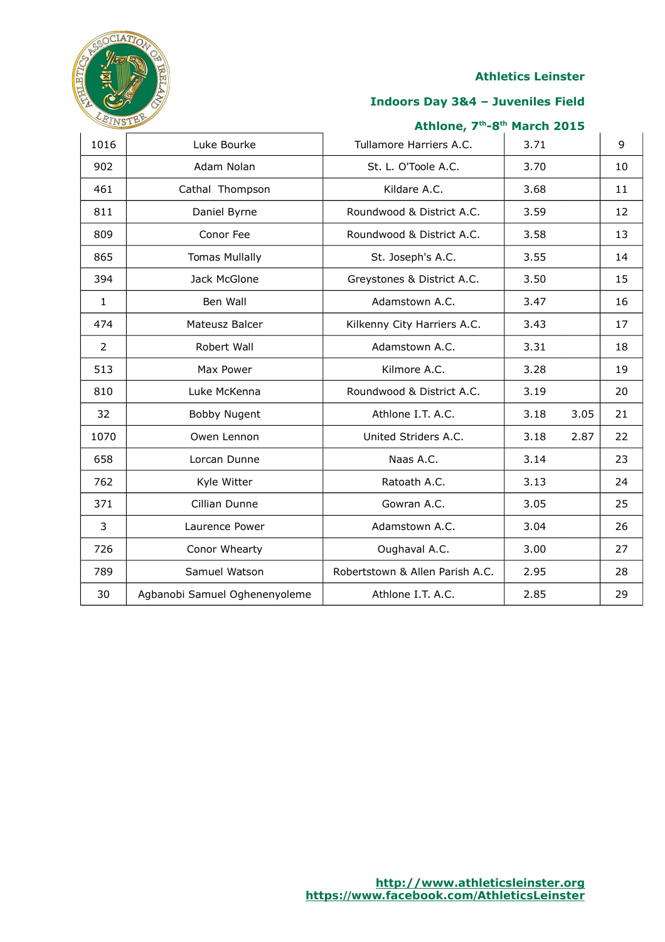

### **Indoors Day 3&4 – Juveniles Field**

| 1016           | Luke Bourke                   | Tullamore Harriers A.C.         | 3.71 |      | 9  |
|----------------|-------------------------------|---------------------------------|------|------|----|
| 902            | Adam Nolan                    | St. L. O'Toole A.C.             | 3.70 |      | 10 |
| 461            | Cathal Thompson               | Kildare A.C.                    | 3.68 |      | 11 |
| 811            | Daniel Byrne                  | Roundwood & District A.C.       | 3.59 |      | 12 |
| 809            | Conor Fee                     | Roundwood & District A.C.       | 3.58 |      | 13 |
| 865            | <b>Tomas Mullally</b>         | St. Joseph's A.C.               | 3.55 |      | 14 |
| 394            | Jack McGlone                  | Greystones & District A.C.      | 3.50 |      | 15 |
| $\mathbf{1}$   | Ben Wall                      | Adamstown A.C.                  | 3.47 |      | 16 |
| 474            | Mateusz Balcer                | Kilkenny City Harriers A.C.     | 3.43 |      | 17 |
| $\overline{2}$ | Robert Wall                   | Adamstown A.C.                  | 3.31 |      | 18 |
| 513            | Max Power                     | Kilmore A.C.                    | 3.28 |      | 19 |
| 810            | Luke McKenna                  | Roundwood & District A.C.       | 3.19 |      | 20 |
| 32             | <b>Bobby Nugent</b>           | Athlone I.T. A.C.               | 3.18 | 3.05 | 21 |
| 1070           | Owen Lennon                   | United Striders A.C.            | 3.18 | 2.87 | 22 |
| 658            | Lorcan Dunne                  | Naas A.C.                       | 3.14 |      | 23 |
| 762            | Kyle Witter                   | Ratoath A.C.                    | 3.13 |      | 24 |
| 371            | Cillian Dunne                 | Gowran A.C.                     | 3.05 |      | 25 |
| 3              | Laurence Power                | Adamstown A.C.                  | 3.04 |      | 26 |
| 726            | Conor Whearty                 | Oughaval A.C.                   | 3.00 |      | 27 |
| 789            | Samuel Watson                 | Robertstown & Allen Parish A.C. | 2.95 |      | 28 |
| 30             | Agbanobi Samuel Oghenenyoleme | Athlone I.T. A.C.               | 2.85 |      | 29 |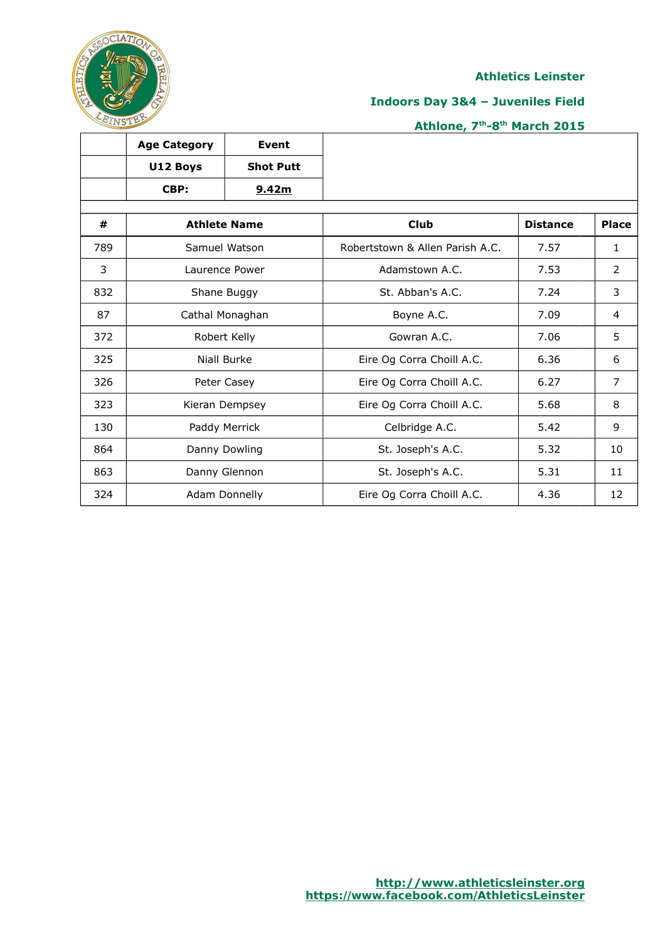

٦

## **Indoors Day 3&4 – Juveniles Field**

## **Athlone, 7th-8th March 2015**

|     | <b>Age Category</b> | <b>Event</b>        |                                 |                 |                |
|-----|---------------------|---------------------|---------------------------------|-----------------|----------------|
|     | U12 Boys            | <b>Shot Putt</b>    |                                 |                 |                |
|     | CBP:                | 9.42m               |                                 |                 |                |
| #   |                     | <b>Athlete Name</b> | <b>Club</b>                     | <b>Distance</b> | <b>Place</b>   |
| 789 |                     | Samuel Watson       | Robertstown & Allen Parish A.C. | 7.57            | $\mathbf{1}$   |
| 3   |                     | Laurence Power      | Adamstown A.C.                  | 7.53            | $\overline{2}$ |
| 832 |                     | Shane Buggy         | St. Abban's A.C.                | 7.24            | 3              |
| 87  | Cathal Monaghan     |                     | Boyne A.C.                      | 7.09            | 4              |
| 372 |                     | Robert Kelly        | Gowran A.C.                     | 7.06            | 5              |
| 325 |                     | Niall Burke         | Eire Og Corra Choill A.C.       | 6.36            | 6              |
| 326 |                     | Peter Casey         | Eire Og Corra Choill A.C.       | 6.27            | $\overline{7}$ |
| 323 |                     | Kieran Dempsey      | Eire Og Corra Choill A.C.       | 5.68            | 8              |
| 130 |                     | Paddy Merrick       | Celbridge A.C.                  | 5.42            | 9              |
| 864 |                     | Danny Dowling       | St. Joseph's A.C.               | 5.32            | 10             |
| 863 |                     | Danny Glennon       | St. Joseph's A.C.               | 5.31            | 11             |
| 324 |                     | Adam Donnelly       | Eire Og Corra Choill A.C.       | 4.36            | 12             |

 $\top$ 

ℸ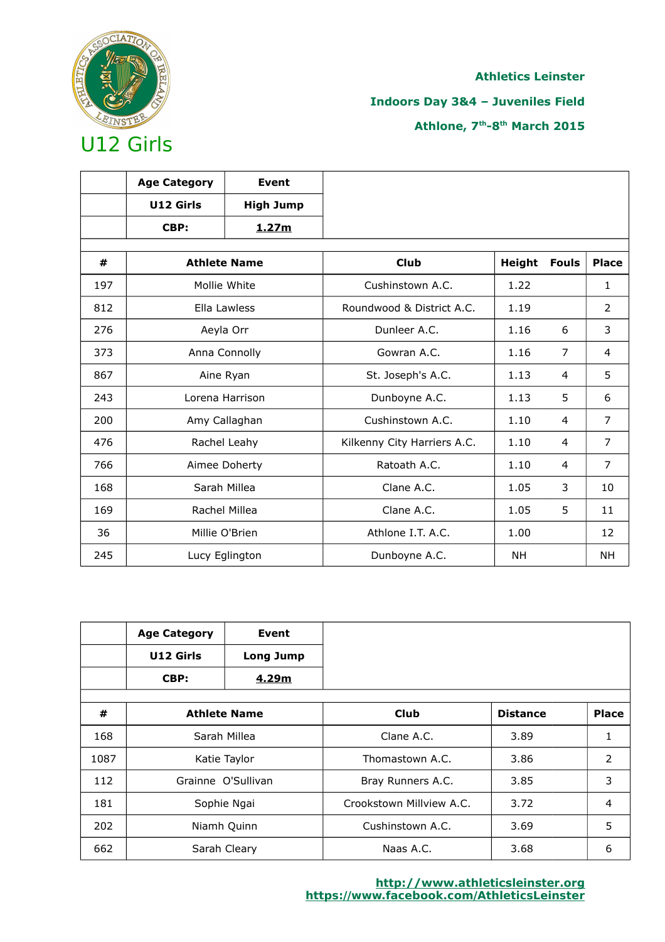

## **Indoors Day 3&4 – Juveniles Field**

|     | <b>Age Category</b> | Event               |                             |        |                |                |
|-----|---------------------|---------------------|-----------------------------|--------|----------------|----------------|
|     | U12 Girls           | <b>High Jump</b>    |                             |        |                |                |
|     | CBP:                | 1.27m               |                             |        |                |                |
| #   |                     | <b>Athlete Name</b> | <b>Club</b>                 | Height | <b>Fouls</b>   | <b>Place</b>   |
| 197 |                     | Mollie White        | Cushinstown A.C.            | 1.22   |                | $\mathbf{1}$   |
| 812 |                     | Ella Lawless        | Roundwood & District A.C.   | 1.19   |                | 2              |
| 276 |                     | Aeyla Orr           | Dunleer A.C.                | 1.16   | 6              | 3              |
| 373 |                     | Anna Connolly       | Gowran A.C.                 | 1.16   | $\overline{7}$ | 4              |
| 867 | Aine Ryan           |                     | St. Joseph's A.C.           | 1.13   | 4              | 5              |
| 243 |                     | Lorena Harrison     | Dunboyne A.C.               | 1.13   | 5              | 6              |
| 200 |                     | Amy Callaghan       | Cushinstown A.C.            | 1.10   | 4              | 7              |
| 476 |                     | Rachel Leahy        | Kilkenny City Harriers A.C. | 1.10   | 4              | $\overline{7}$ |
| 766 |                     | Aimee Doherty       | Ratoath A.C.                | 1.10   | 4              | 7              |
| 168 |                     | Sarah Millea        | Clane A.C.                  | 1.05   | 3              | 10             |
| 169 |                     | Rachel Millea       | Clane A.C.                  | 1.05   | 5              | 11             |
| 36  |                     | Millie O'Brien      | Athlone I.T. A.C.           | 1.00   |                | 12             |
| 245 |                     | Lucy Eglington      | Dunboyne A.C.               | NΗ     |                | NΗ             |

|      | <b>Age Category</b> | Event               |                          |                 |                |
|------|---------------------|---------------------|--------------------------|-----------------|----------------|
|      | U12 Girls           | <b>Long Jump</b>    |                          |                 |                |
|      | CBP:                | 4.29m               |                          |                 |                |
|      |                     |                     |                          |                 |                |
| #    |                     | <b>Athlete Name</b> | <b>Club</b>              | <b>Distance</b> | <b>Place</b>   |
| 168  | Sarah Millea        |                     | Clane A.C.               | 3.89            | 1              |
| 1087 |                     | Katie Taylor        | Thomastown A.C.          | 3.86            | $\overline{2}$ |
| 112  |                     | Grainne O'Sullivan  | Bray Runners A.C.        | 3.85            | 3              |
| 181  | Sophie Ngai         |                     | Crookstown Millyjew A.C. | 3.72            | 4              |
| 202  |                     | Niamh Quinn         | Cushinstown A.C.         | 3.69            | 5              |
| 662  |                     | Sarah Cleary        | Naas A.C.                | 3.68            | 6              |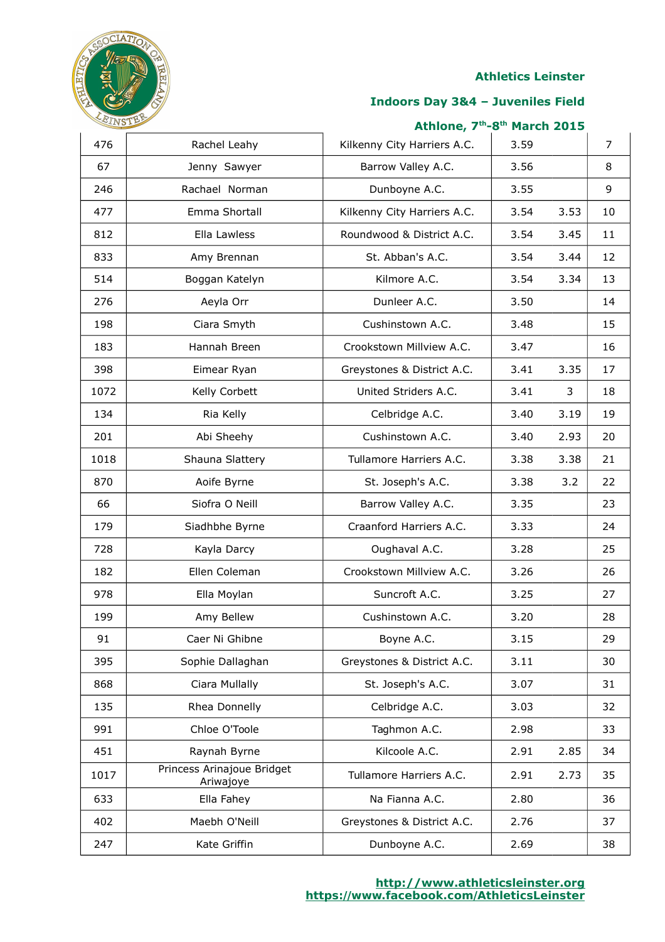

#### **Indoors Day 3&4 – Juveniles Field**

| 476  | Rachel Leahy                            | Kilkenny City Harriers A.C. | 3.59 |      | 7  |
|------|-----------------------------------------|-----------------------------|------|------|----|
| 67   | Jenny Sawyer                            | Barrow Valley A.C.          | 3.56 |      | 8  |
| 246  | Rachael Norman                          | Dunboyne A.C.               | 3.55 |      | 9  |
| 477  | Emma Shortall                           | Kilkenny City Harriers A.C. | 3.54 | 3.53 | 10 |
| 812  | Ella Lawless                            | Roundwood & District A.C.   | 3.54 | 3.45 | 11 |
| 833  | Amy Brennan                             | St. Abban's A.C.            | 3.54 | 3.44 | 12 |
| 514  | Boggan Katelyn                          | Kilmore A.C.                | 3.54 | 3.34 | 13 |
| 276  | Aeyla Orr                               | Dunleer A.C.                | 3.50 |      | 14 |
| 198  | Ciara Smyth                             | Cushinstown A.C.            | 3.48 |      | 15 |
| 183  | Hannah Breen                            | Crookstown Millview A.C.    | 3.47 |      | 16 |
| 398  | Eimear Ryan                             | Greystones & District A.C.  | 3.41 | 3.35 | 17 |
| 1072 | Kelly Corbett                           | United Striders A.C.        | 3.41 | 3    | 18 |
| 134  | Ria Kelly                               | Celbridge A.C.              | 3.40 | 3.19 | 19 |
| 201  | Abi Sheehy                              | Cushinstown A.C.            | 3.40 | 2.93 | 20 |
| 1018 | Shauna Slattery                         | Tullamore Harriers A.C.     | 3.38 | 3.38 | 21 |
| 870  | Aoife Byrne                             | St. Joseph's A.C.           | 3.38 | 3.2  | 22 |
| 66   | Siofra O Neill                          | Barrow Valley A.C.          | 3.35 |      | 23 |
| 179  | Siadhbhe Byrne                          | Craanford Harriers A.C.     | 3.33 |      | 24 |
| 728  | Kayla Darcy                             | Oughaval A.C.               | 3.28 |      | 25 |
| 182  | Ellen Coleman                           | Crookstown Millview A.C.    | 3.26 |      | 26 |
| 978  | Ella Moylan                             | Suncroft A.C.               | 3.25 |      | 27 |
| 199  | Amy Bellew                              | Cushinstown A.C.            | 3.20 |      | 28 |
| 91   | Caer Ni Ghibne                          | Boyne A.C.                  | 3.15 |      | 29 |
| 395  | Sophie Dallaghan                        | Greystones & District A.C.  | 3.11 |      | 30 |
| 868  | Ciara Mullally                          | St. Joseph's A.C.           | 3.07 |      | 31 |
| 135  | Rhea Donnelly                           | Celbridge A.C.              | 3.03 |      | 32 |
| 991  | Chloe O'Toole                           | Taghmon A.C.                | 2.98 |      | 33 |
| 451  | Raynah Byrne                            | Kilcoole A.C.               | 2.91 | 2.85 | 34 |
| 1017 | Princess Arinajoue Bridget<br>Ariwajoye | Tullamore Harriers A.C.     | 2.91 | 2.73 | 35 |
| 633  | Ella Fahey                              | Na Fianna A.C.              | 2.80 |      | 36 |
| 402  | Maebh O'Neill                           | Greystones & District A.C.  | 2.76 |      | 37 |
| 247  | Kate Griffin                            | Dunboyne A.C.               | 2.69 |      | 38 |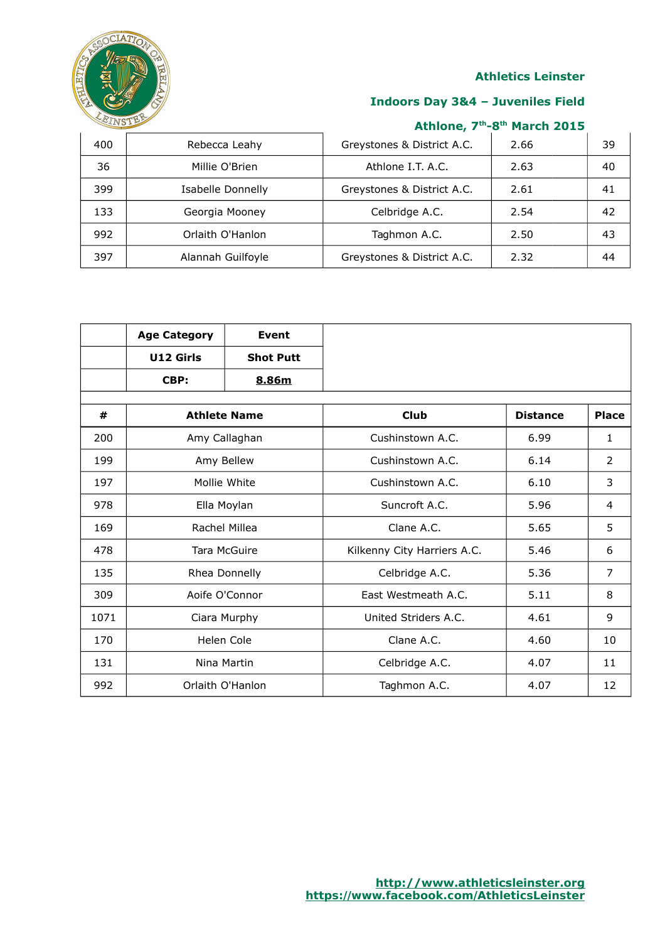

## **Indoors Day 3&4 – Juveniles Field**

| 400 | Rebecca Leahy     | Greystones & District A.C. | 2.66 | 39 |
|-----|-------------------|----------------------------|------|----|
| 36  | Millie O'Brien    | Athlone I.T. A.C.          | 2.63 | 40 |
| 399 | Isabelle Donnelly | Greystones & District A.C. | 2.61 | 41 |
| 133 | Georgia Mooney    | Celbridge A.C.             | 2.54 | 42 |
| 992 | Orlaith O'Hanlon  | Taghmon A.C.               | 2.50 | 43 |
| 397 | Alannah Guilfoyle | Greystones & District A.C. | 2.32 | 44 |

|      | <b>Age Category</b> | <b>Event</b>     |                             |                 |                |
|------|---------------------|------------------|-----------------------------|-----------------|----------------|
|      | U12 Girls           | <b>Shot Putt</b> |                             |                 |                |
|      | CBP:                | 8.86m            |                             |                 |                |
| #    | <b>Athlete Name</b> |                  | <b>Club</b>                 | <b>Distance</b> | <b>Place</b>   |
| 200  | Amy Callaghan       |                  | Cushinstown A.C.            | 6.99            | $\mathbf{1}$   |
| 199  |                     | Amy Bellew       | Cushinstown A.C.            | 6.14            | $\overline{2}$ |
| 197  |                     | Mollie White     | Cushinstown A.C.            | 6.10            | 3              |
| 978  |                     | Ella Moylan      | Suncroft A.C.               | 5.96            | 4              |
| 169  | Rachel Millea       |                  | Clane A.C.                  | 5.65            | 5              |
| 478  |                     | Tara McGuire     | Kilkenny City Harriers A.C. | 5.46            | 6              |
| 135  |                     | Rhea Donnelly    | Celbridge A.C.              | 5.36            | $\overline{7}$ |
| 309  |                     | Aoife O'Connor   | East Westmeath A.C.         | 5.11            | 8              |
| 1071 |                     | Ciara Murphy     | United Striders A.C.        | 4.61            | 9              |
| 170  |                     | Helen Cole       | Clane A.C.                  | 4.60            | 10             |
| 131  |                     | Nina Martin      | Celbridge A.C.              | 4.07            | 11             |
| 992  |                     | Orlaith O'Hanlon | Taghmon A.C.                | 4.07            | 12             |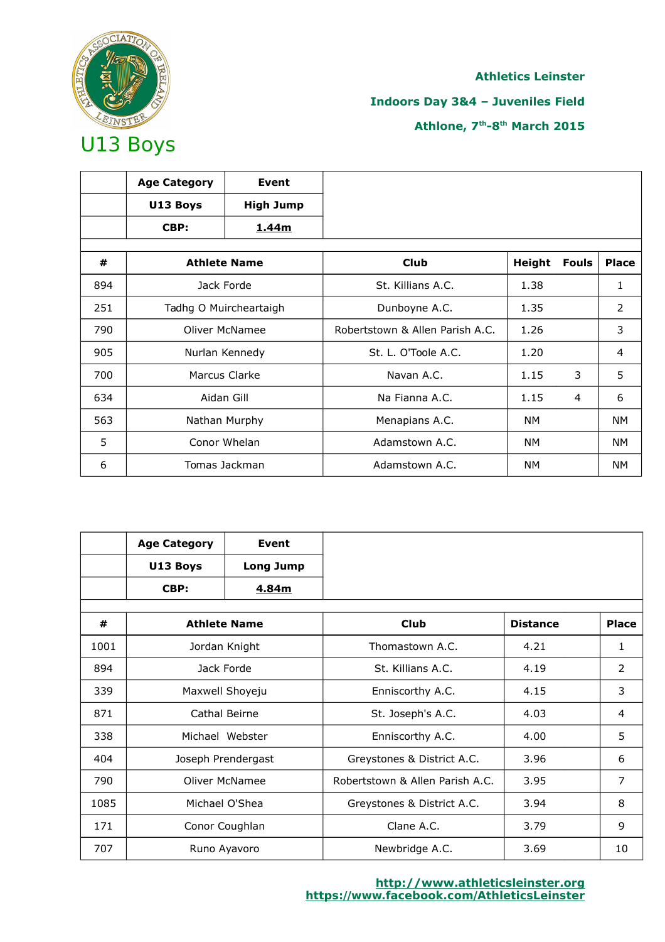

## **Indoors Day 3&4 – Juveniles Field**

|     | <b>Age Category</b> | Event                  |                                 |               |              |                |
|-----|---------------------|------------------------|---------------------------------|---------------|--------------|----------------|
|     | U13 Boys            | <b>High Jump</b>       |                                 |               |              |                |
|     | CBP:                | 1.44m                  |                                 |               |              |                |
|     |                     |                        |                                 |               |              |                |
| #   |                     | <b>Athlete Name</b>    | <b>Club</b>                     | <b>Height</b> | <b>Fouls</b> | <b>Place</b>   |
| 894 |                     | Jack Forde             | St. Killians A.C.               | 1.38          |              | 1              |
| 251 |                     | Tadhg O Muircheartaigh | Dunboyne A.C.                   | 1.35          |              | 2              |
| 790 |                     | Oliver McNamee         | Robertstown & Allen Parish A.C. | 1.26          |              | 3              |
| 905 |                     | Nurlan Kennedy         | St. L. O'Toole A.C.             | 1.20          |              | $\overline{4}$ |
| 700 |                     | Marcus Clarke          | Navan A.C.                      | 1.15          | 3            | 5              |
| 634 |                     | Aidan Gill             | Na Fianna A.C.                  | 1.15          | 4            | 6              |
| 563 |                     | Nathan Murphy          | Menapians A.C.                  | NM            |              | <b>NM</b>      |
| 5   |                     | Conor Whelan           | Adamstown A.C.                  | NM            |              | <b>NM</b>      |
| 6   |                     | Tomas Jackman          | Adamstown A.C.                  | NM            |              | <b>NM</b>      |

|      | <b>Age Category</b> | Event                 |                                 |                 |              |
|------|---------------------|-----------------------|---------------------------------|-----------------|--------------|
|      | U13 Boys            | <b>Long Jump</b>      |                                 |                 |              |
|      | CBP:                | 4.84m                 |                                 |                 |              |
| #    |                     | <b>Athlete Name</b>   | <b>Club</b>                     | <b>Distance</b> | <b>Place</b> |
|      |                     |                       |                                 |                 |              |
| 1001 |                     | Jordan Knight         | Thomastown A.C.                 | 4.21            | 1            |
| 894  |                     | Jack Forde            | St. Killians A.C.               | 4.19            | 2            |
| 339  | Maxwell Shoyeju     |                       | Enniscorthy A.C.                | 4.15            | 3            |
| 871  |                     | Cathal Beirne         | St. Joseph's A.C.               | 4.03            | 4            |
| 338  |                     | Michael Webster       | Enniscorthy A.C.                | 4.00            | 5            |
| 404  |                     | Joseph Prendergast    | Greystones & District A.C.      | 3.96            | 6            |
| 790  |                     | <b>Oliver McNamee</b> | Robertstown & Allen Parish A.C. | 3.95            | 7            |
| 1085 |                     | Michael O'Shea        | Greystones & District A.C.      | 3.94            | 8            |
| 171  |                     | Conor Coughlan        | Clane A.C.                      | 3.79            | 9            |
| 707  |                     | Runo Ayavoro          | Newbridge A.C.                  | 3.69            | 10           |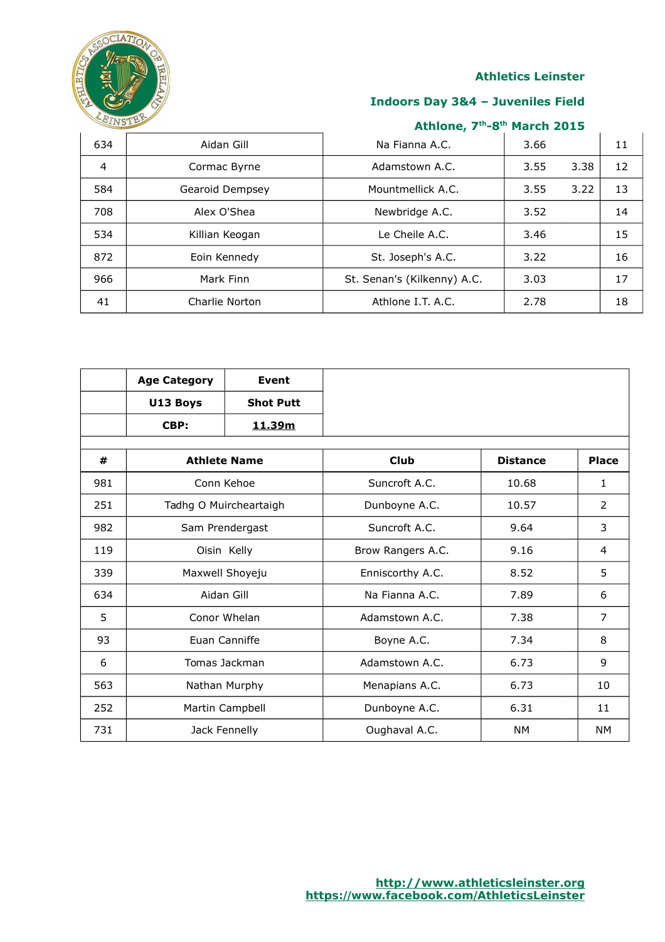

## **Indoors Day 3&4 – Juveniles Field**

| 634 | Aidan Gill      | Na Fianna A.C.              | 3.66 |      | 11 |
|-----|-----------------|-----------------------------|------|------|----|
| 4   | Cormac Byrne    | Adamstown A.C.              | 3.55 | 3.38 | 12 |
| 584 | Gearoid Dempsey | Mountmellick A.C.           | 3.55 | 3.22 | 13 |
| 708 | Alex O'Shea     | Newbridge A.C.              | 3.52 |      | 14 |
| 534 | Killian Keogan  | Le Cheile A.C.              | 3.46 |      | 15 |
| 872 | Eoin Kennedy    | St. Joseph's A.C.           | 3.22 |      | 16 |
| 966 | Mark Finn       | St. Senan's (Kilkenny) A.C. | 3.03 |      | 17 |
| 41  | Charlie Norton  | Athlone I.T. A.C.           | 2.78 |      | 18 |

|     | <b>Age Category</b> | Event                  |                   |                 |                |
|-----|---------------------|------------------------|-------------------|-----------------|----------------|
|     | U13 Boys            | <b>Shot Putt</b>       |                   |                 |                |
|     | CBP:                | 11.39m                 |                   |                 |                |
|     |                     |                        |                   |                 |                |
| #   |                     | <b>Athlete Name</b>    | <b>Club</b>       | <b>Distance</b> | <b>Place</b>   |
| 981 |                     | Conn Kehoe             | Suncroft A.C.     | 10.68           | $\mathbf{1}$   |
| 251 |                     | Tadhg O Muircheartaigh | Dunboyne A.C.     | 10.57           | 2              |
| 982 |                     | Sam Prendergast        | Suncroft A.C.     | 9.64            | 3              |
| 119 | Oisin Kelly         |                        | Brow Rangers A.C. | 9.16            | 4              |
| 339 |                     | Maxwell Shoyeju        | Enniscorthy A.C.  | 8.52            | 5              |
| 634 |                     | Aidan Gill             | Na Fianna A.C.    | 7.89            | 6              |
| 5   |                     | Conor Whelan           | Adamstown A.C.    | 7.38            | $\overline{7}$ |
| 93  |                     | Euan Canniffe          | Boyne A.C.        | 7.34            | 8              |
| 6   | Tomas Jackman       |                        | Adamstown A.C.    | 6.73            | 9              |
| 563 |                     | Nathan Murphy          | Menapians A.C.    | 6.73            | 10             |
| 252 |                     | Martin Campbell        | Dunboyne A.C.     | 6.31            | 11             |
| 731 |                     | Jack Fennelly          | Oughaval A.C.     | <b>NM</b>       | <b>NM</b>      |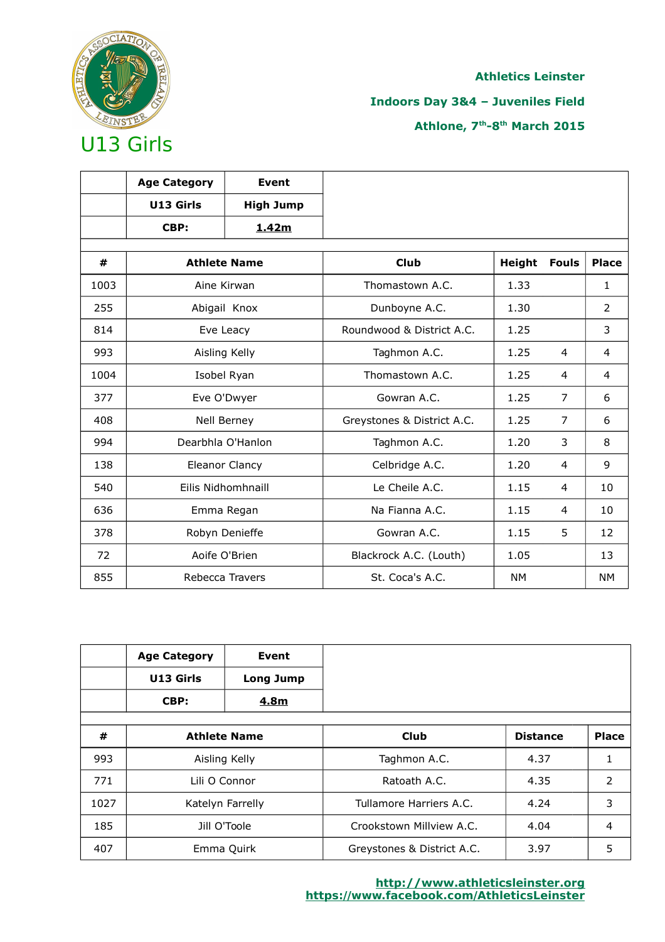

## **Indoors Day 3&4 – Juveniles Field**

|      | <b>Age Category</b> | <b>Event</b>          |                            |           |                |                |
|------|---------------------|-----------------------|----------------------------|-----------|----------------|----------------|
|      | U13 Girls           | <b>High Jump</b>      |                            |           |                |                |
|      | CBP:                | 1.42m                 |                            |           |                |                |
| #    |                     | <b>Athlete Name</b>   | <b>Club</b>                | Height    | <b>Fouls</b>   | <b>Place</b>   |
| 1003 |                     | Aine Kirwan           | Thomastown A.C.            | 1.33      |                | $\mathbf{1}$   |
| 255  |                     | Abigail Knox          | Dunboyne A.C.              | 1.30      |                | $\overline{2}$ |
| 814  |                     | Eve Leacy             | Roundwood & District A.C.  | 1.25      |                | 3              |
| 993  |                     | Aisling Kelly         | Taghmon A.C.               | 1.25      | 4              | 4              |
| 1004 | Isobel Ryan         |                       | Thomastown A.C.            | 1.25      | 4              | 4              |
| 377  |                     | Eve O'Dwyer           | Gowran A.C.                | 1.25      | $\overline{7}$ | 6              |
| 408  |                     | Nell Berney           | Greystones & District A.C. | 1.25      | 7              | 6              |
| 994  |                     | Dearbhla O'Hanlon     | Taghmon A.C.               | 1.20      | 3              | 8              |
| 138  |                     | <b>Eleanor Clancy</b> | Celbridge A.C.             | 1.20      | 4              | 9              |
| 540  |                     | Eilis Nidhomhnaill    | Le Cheile A.C.             | 1.15      | 4              | 10             |
| 636  |                     | Emma Regan            | Na Fianna A.C.             | 1.15      | 4              | 10             |
| 378  |                     | Robyn Denieffe        | Gowran A.C.                | 1.15      | 5              | 12             |
| 72   |                     | Aoife O'Brien         | Blackrock A.C. (Louth)     | 1.05      |                | 13             |
| 855  |                     | Rebecca Travers       | St. Coca's A.C.            | <b>NM</b> |                | <b>NM</b>      |

|      | <b>Age Category</b><br>U13 Girls<br>CBP: | Event<br><b>Long Jump</b><br>4.8m |                            |                 |              |
|------|------------------------------------------|-----------------------------------|----------------------------|-----------------|--------------|
| #    |                                          | <b>Athlete Name</b>               | Club                       | <b>Distance</b> | <b>Place</b> |
| 993  |                                          | Aisling Kelly                     | Taghmon A.C.               | 4.37            |              |
| 771  | Lili O Connor                            |                                   | Ratoath A.C.               | 4.35            | 2            |
| 1027 | Katelyn Farrelly                         |                                   | Tullamore Harriers A.C.    | 4.24            | 3            |
| 185  |                                          | Jill O'Toole                      | Crookstown Millyjew A.C.   | 4.04            | 4            |
| 407  |                                          | Emma Quirk                        | Greystones & District A.C. | 3.97            | 5            |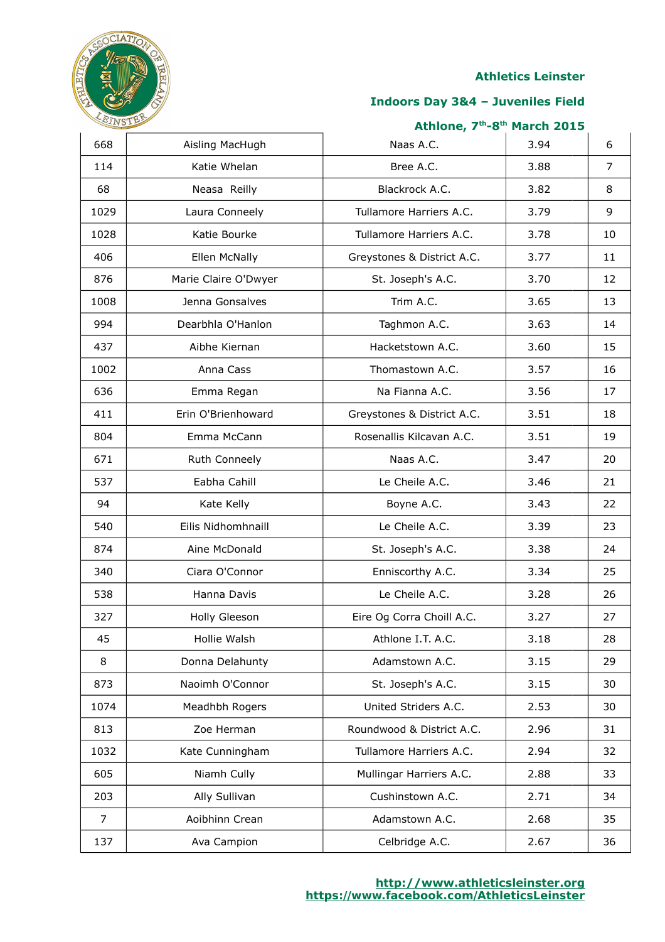

### **Indoors Day 3&4 – Juveniles Field**

| 668  | Aisling MacHugh      | Naas A.C.                  | 3.94 | 6  |
|------|----------------------|----------------------------|------|----|
| 114  | Katie Whelan         | Bree A.C.                  | 3.88 | 7  |
| 68   | Neasa Reilly         | Blackrock A.C.             | 3.82 | 8  |
| 1029 | Laura Conneely       | Tullamore Harriers A.C.    | 3.79 | 9  |
| 1028 | Katie Bourke         | Tullamore Harriers A.C.    | 3.78 | 10 |
| 406  | Ellen McNally        | Greystones & District A.C. | 3.77 | 11 |
| 876  | Marie Claire O'Dwyer | St. Joseph's A.C.          | 3.70 | 12 |
| 1008 | Jenna Gonsalves      | Trim A.C.                  | 3.65 | 13 |
| 994  | Dearbhla O'Hanlon    | Taghmon A.C.               | 3.63 | 14 |
| 437  | Aibhe Kiernan        | Hacketstown A.C.           | 3.60 | 15 |
| 1002 | Anna Cass            | Thomastown A.C.            | 3.57 | 16 |
| 636  | Emma Regan           | Na Fianna A.C.             | 3.56 | 17 |
| 411  | Erin O'Brienhoward   | Greystones & District A.C. | 3.51 | 18 |
| 804  | Emma McCann          | Rosenallis Kilcavan A.C.   | 3.51 | 19 |
| 671  | Ruth Conneely        | Naas A.C.                  | 3.47 | 20 |
| 537  | Eabha Cahill         | Le Cheile A.C.             | 3.46 | 21 |
| 94   | Kate Kelly           | Boyne A.C.                 | 3.43 | 22 |
| 540  | Eilis Nidhomhnaill   | Le Cheile A.C.             | 3.39 | 23 |
| 874  | Aine McDonald        | St. Joseph's A.C.          | 3.38 | 24 |
| 340  | Ciara O'Connor       | Enniscorthy A.C.           | 3.34 | 25 |
| 538  | Hanna Davis          | Le Cheile A.C.             | 3.28 | 26 |
| 327  | Holly Gleeson        | Eire Og Corra Choill A.C.  | 3.27 | 27 |
| 45   | Hollie Walsh         | Athlone I.T. A.C.          | 3.18 | 28 |
| 8    | Donna Delahunty      | Adamstown A.C.             | 3.15 | 29 |
| 873  | Naoimh O'Connor      | St. Joseph's A.C.          | 3.15 | 30 |
| 1074 | Meadhbh Rogers       | United Striders A.C.       | 2.53 | 30 |
| 813  | Zoe Herman           | Roundwood & District A.C.  | 2.96 | 31 |
| 1032 | Kate Cunningham      | Tullamore Harriers A.C.    | 2.94 | 32 |
| 605  | Niamh Cully          | Mullingar Harriers A.C.    | 2.88 | 33 |
| 203  | Ally Sullivan        | Cushinstown A.C.           | 2.71 | 34 |
| 7    | Aoibhinn Crean       | Adamstown A.C.             | 2.68 | 35 |
| 137  | Ava Campion          | Celbridge A.C.             | 2.67 | 36 |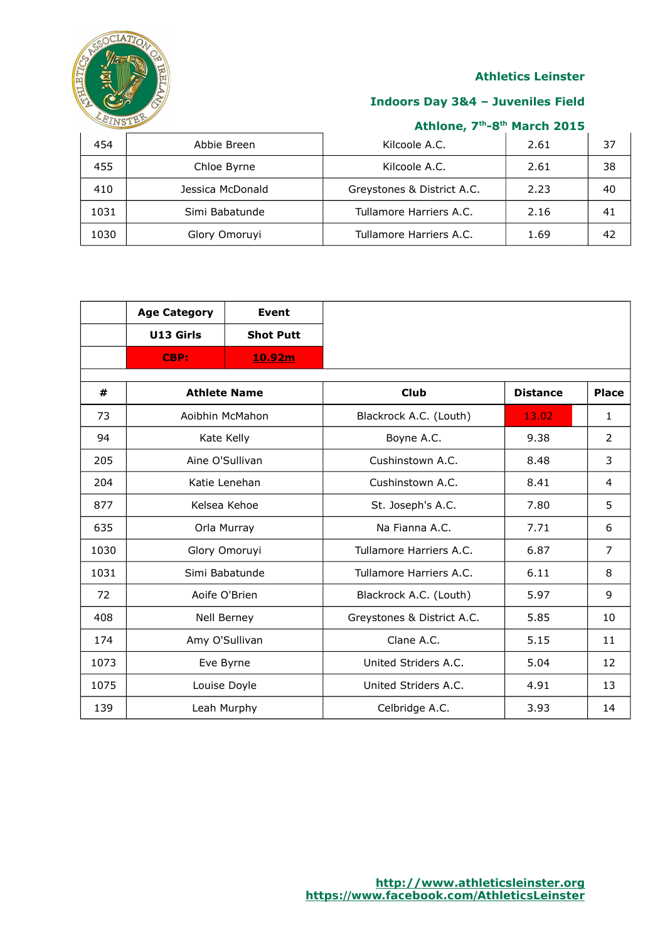

## **Indoors Day 3&4 – Juveniles Field**

| 454  | Abbie Breen      | Kilcoole A.C.              | 2.61 | 37 |
|------|------------------|----------------------------|------|----|
| 455  | Chloe Byrne      | Kilcoole A.C.              | 2.61 | 38 |
| 410  | Jessica McDonald | Greystones & District A.C. | 2.23 | 40 |
| 1031 | Simi Babatunde   | Tullamore Harriers A.C.    | 2.16 |    |
| 1030 | Glory Omoruyi    | Tullamore Harriers A.C.    | 1.69 | 42 |

|      | <b>Age Category</b> | <b>Event</b>       |                            |                 |                |
|------|---------------------|--------------------|----------------------------|-----------------|----------------|
|      | U13 Girls           | <b>Shot Putt</b>   |                            |                 |                |
|      | CBP:                | 10.92m             |                            |                 |                |
| #    | <b>Athlete Name</b> |                    | <b>Club</b>                | <b>Distance</b> | <b>Place</b>   |
|      |                     |                    |                            |                 |                |
| 73   | Aoibhin McMahon     |                    | Blackrock A.C. (Louth)     | 13.02           | $\mathbf{1}$   |
| 94   |                     | Kate Kelly         | Boyne A.C.                 | 9.38            | 2              |
| 205  | Aine O'Sullivan     |                    | Cushinstown A.C.           | 8.48            | 3              |
| 204  | Katie Lenehan       |                    | Cushinstown A.C.           | 8.41            | 4              |
| 877  | Kelsea Kehoe        |                    | St. Joseph's A.C.          | 7.80            | 5              |
| 635  | Orla Murray         |                    | Na Fianna A.C.             | 7.71            | 6              |
| 1030 |                     | Glory Omoruyi      | Tullamore Harriers A.C.    | 6.87            | $\overline{7}$ |
| 1031 | Simi Babatunde      |                    | Tullamore Harriers A.C.    | 6.11            | 8              |
| 72   | Aoife O'Brien       |                    | Blackrock A.C. (Louth)     | 5.97            | 9              |
| 408  |                     | <b>Nell Berney</b> | Greystones & District A.C. | 5.85            | 10             |
| 174  | Amy O'Sullivan      |                    | Clane A.C.                 | 5.15            | 11             |
| 1073 | Eve Byrne           |                    | United Striders A.C.       | 5.04            | 12             |
| 1075 |                     | Louise Doyle       | United Striders A.C.       | 4.91            | 13             |
| 139  |                     | Leah Murphy        | Celbridge A.C.             | 3.93            | 14             |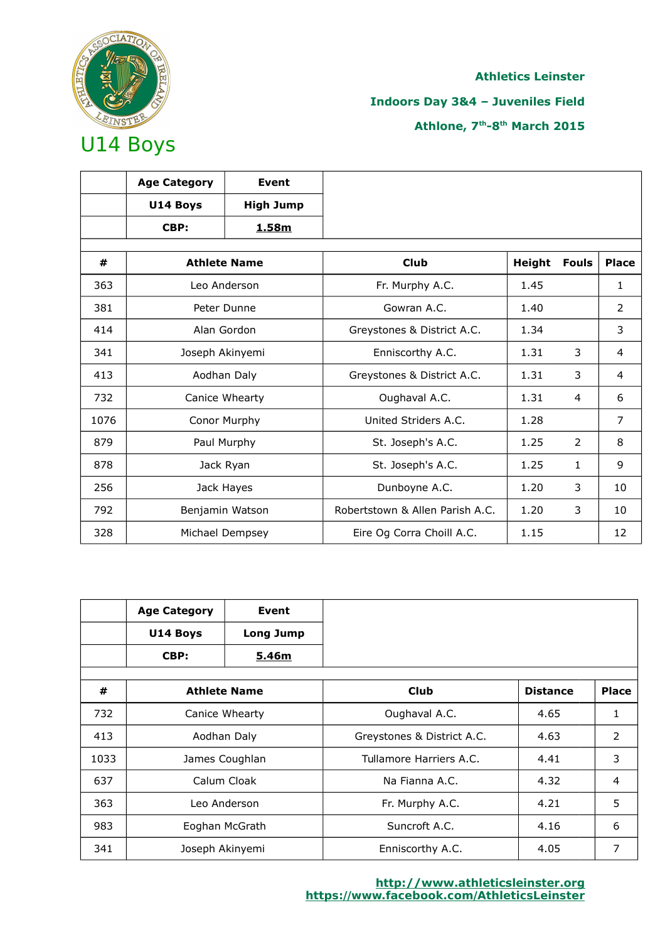

# **Indoors Day 3&4 – Juveniles Field**

|      | <b>Age Category</b> | Event               |                                 |        |                |                |
|------|---------------------|---------------------|---------------------------------|--------|----------------|----------------|
|      | U14 Boys            | <b>High Jump</b>    |                                 |        |                |                |
|      | CBP:                | 1.58m               |                                 |        |                |                |
|      |                     |                     |                                 |        |                |                |
| #    |                     | <b>Athlete Name</b> | <b>Club</b>                     | Height | <b>Fouls</b>   | <b>Place</b>   |
| 363  |                     | Leo Anderson        | Fr. Murphy A.C.                 | 1.45   |                | 1              |
| 381  |                     | Peter Dunne         | Gowran A.C.                     | 1.40   |                | 2              |
| 414  |                     | Alan Gordon         | Greystones & District A.C.      | 1.34   |                | 3              |
| 341  | Joseph Akinyemi     |                     | Enniscorthy A.C.                | 1.31   | 3              | $\overline{4}$ |
| 413  |                     | Aodhan Daly         | Greystones & District A.C.      | 1.31   | 3              | $\overline{4}$ |
| 732  |                     | Canice Whearty      | Oughaval A.C.                   | 1.31   | 4              | 6              |
| 1076 |                     | Conor Murphy        | United Striders A.C.            | 1.28   |                | $\overline{7}$ |
| 879  |                     | Paul Murphy         | St. Joseph's A.C.               | 1.25   | $\overline{2}$ | 8              |
| 878  |                     | Jack Ryan           | St. Joseph's A.C.               | 1.25   | 1              | 9              |
| 256  |                     | Jack Hayes          | Dunboyne A.C.                   | 1.20   | 3              | 10             |
| 792  |                     | Benjamin Watson     | Robertstown & Allen Parish A.C. | 1.20   | 3              | 10             |
| 328  |                     | Michael Dempsey     | Eire Og Corra Choill A.C.       | 1.15   |                | 12             |

|      | <b>Age Category</b> | Event               |                            |                 |                |
|------|---------------------|---------------------|----------------------------|-----------------|----------------|
|      | U14 Boys            | <b>Long Jump</b>    |                            |                 |                |
|      | CBP:                | 5.46m               |                            |                 |                |
|      |                     |                     |                            |                 |                |
| #    |                     | <b>Athlete Name</b> | Club                       | <b>Distance</b> | <b>Place</b>   |
| 732  |                     | Canice Whearty      | Oughaval A.C.              | 4.65            | 1              |
| 413  |                     | Aodhan Daly         | Greystones & District A.C. | 4.63            | 2              |
| 1033 |                     | James Coughlan      | Tullamore Harriers A.C.    | 4.41            | 3              |
| 637  |                     | Calum Cloak         | Na Fianna A.C.             | 4.32            | $\overline{4}$ |
| 363  | Leo Anderson        |                     | Fr. Murphy A.C.            | 4.21            | 5              |
| 983  |                     | Eoghan McGrath      | Suncroft A.C.              | 4.16            | 6              |
| 341  | Joseph Akinyemi     |                     | Enniscorthy A.C.           | 4.05            | 7              |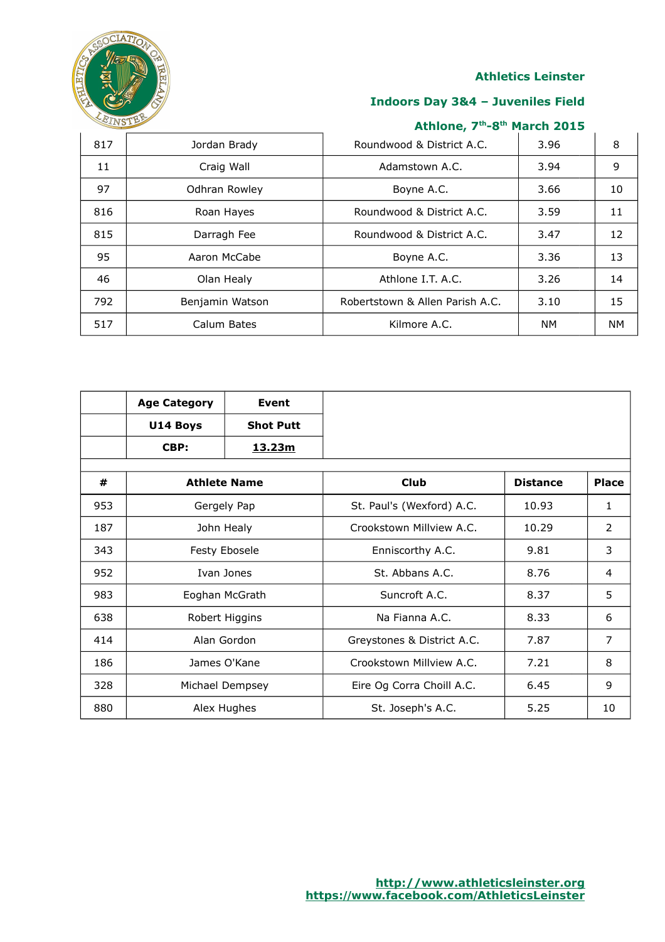

## **Indoors Day 3&4 – Juveniles Field**

| 817 | Jordan Brady    | Roundwood & District A.C.       | 3.96      | 8         |
|-----|-----------------|---------------------------------|-----------|-----------|
| 11  | Craig Wall      | Adamstown A.C.                  | 3.94      | 9         |
| 97  | Odhran Rowley   | Boyne A.C.                      | 3.66      | 10        |
| 816 | Roan Hayes      | Roundwood & District A.C.       | 3.59      | 11        |
| 815 | Darragh Fee     | Roundwood & District A.C.       | 3.47      | 12        |
| 95  | Aaron McCabe    | Boyne A.C.                      | 3.36      | 13        |
| 46  | Olan Healy      | Athlone I.T. A.C.               | 3.26      | 14        |
| 792 | Benjamin Watson | Robertstown & Allen Parish A.C. | 3.10      | 15        |
| 517 | Calum Bates     | Kilmore A.C.                    | <b>NM</b> | <b>NM</b> |

|     | <b>Age Category</b> | Event               |                            |                 |              |
|-----|---------------------|---------------------|----------------------------|-----------------|--------------|
|     | U14 Boys            | <b>Shot Putt</b>    |                            |                 |              |
|     | CBP:                | 13.23m              |                            |                 |              |
| #   |                     | <b>Athlete Name</b> | <b>Club</b>                | <b>Distance</b> | <b>Place</b> |
| 953 |                     | Gergely Pap         | St. Paul's (Wexford) A.C.  | 10.93           | 1            |
| 187 |                     | John Healy          | Crookstown Millyjew A.C.   | 10.29           | 2            |
| 343 | Festy Ebosele       |                     | Enniscorthy A.C.           | 9.81            | 3            |
| 952 |                     | Ivan Jones          | St. Abbans A.C.            | 8.76            | 4            |
| 983 |                     | Eoghan McGrath      | Suncroft A.C.              | 8.37            | 5            |
| 638 |                     | Robert Higgins      | Na Fianna A.C.             | 8.33            | 6            |
| 414 |                     | Alan Gordon         | Greystones & District A.C. | 7.87            | 7            |
| 186 | James O'Kane        |                     | Crookstown Millview A.C.   | 7.21            | 8            |
| 328 |                     | Michael Dempsey     | Eire Og Corra Choill A.C.  | 6.45            | 9            |
| 880 |                     | Alex Hughes         | St. Joseph's A.C.          | 5.25            | 10           |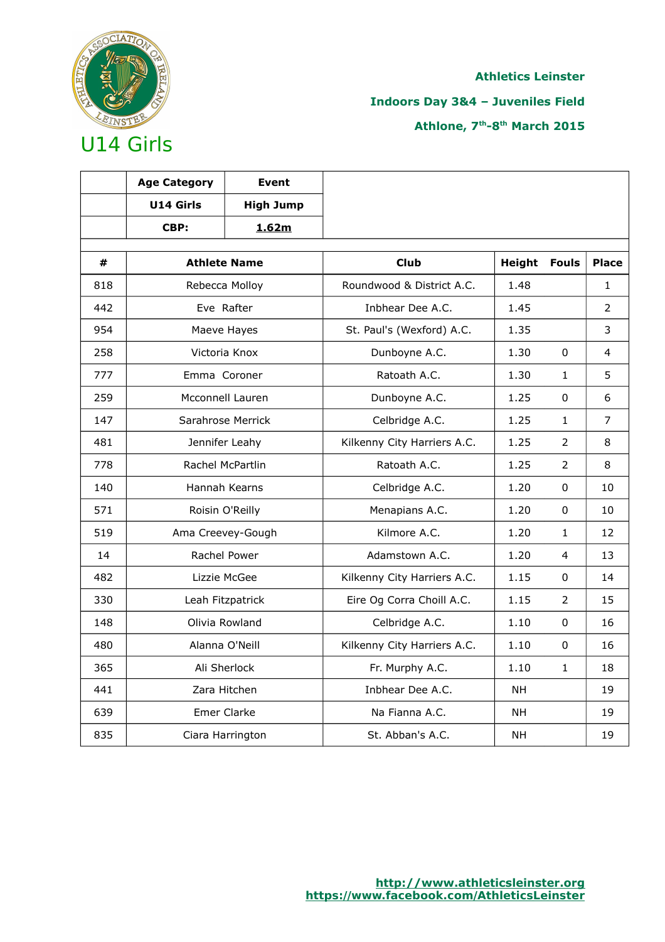

# **Indoors Day 3&4 – Juveniles Field**

|     | <b>Age Category</b> | <b>Event</b>        |                             |               |                |                |
|-----|---------------------|---------------------|-----------------------------|---------------|----------------|----------------|
|     | U14 Girls           | <b>High Jump</b>    |                             |               |                |                |
|     | CBP:                | 1.62m               |                             |               |                |                |
| #   |                     | <b>Athlete Name</b> | <b>Club</b>                 | <b>Height</b> | <b>Fouls</b>   | <b>Place</b>   |
| 818 |                     | Rebecca Molloy      | Roundwood & District A.C.   | 1.48          |                | $\mathbf{1}$   |
| 442 |                     | Eve Rafter          | Inbhear Dee A.C.            | 1.45          |                | $\overline{2}$ |
| 954 |                     | Maeve Hayes         | St. Paul's (Wexford) A.C.   | 1.35          |                | 3              |
| 258 |                     | Victoria Knox       | Dunboyne A.C.               | 1.30          | $\mathbf{0}$   | 4              |
| 777 | Emma Coroner        |                     | Ratoath A.C.                | 1.30          | $\mathbf{1}$   | 5              |
| 259 |                     | Mcconnell Lauren    | Dunboyne A.C.               | 1.25          | 0              | 6              |
| 147 |                     | Sarahrose Merrick   | Celbridge A.C.              | 1.25          | 1              | $\overline{7}$ |
| 481 |                     | Jennifer Leahy      | Kilkenny City Harriers A.C. | 1.25          | $\overline{2}$ | 8              |
| 778 | Rachel McPartlin    |                     | Ratoath A.C.                | 1.25          | $\overline{2}$ | 8              |
| 140 |                     | Hannah Kearns       | Celbridge A.C.              | 1.20          | 0              | 10             |
| 571 |                     | Roisin O'Reilly     | Menapians A.C.              | 1.20          | $\mathbf{0}$   | 10             |
| 519 |                     | Ama Creevey-Gough   | Kilmore A.C.                | 1.20          | $\mathbf{1}$   | 12             |
| 14  |                     | Rachel Power        | Adamstown A.C.              | 1.20          | 4              | 13             |
| 482 |                     | Lizzie McGee        | Kilkenny City Harriers A.C. | 1.15          | 0              | 14             |
| 330 |                     | Leah Fitzpatrick    | Eire Og Corra Choill A.C.   | 1.15          | $\overline{2}$ | 15             |
| 148 |                     | Olivia Rowland      | Celbridge A.C.              | 1.10          | 0              | 16             |
| 480 | Alanna O'Neill      |                     | Kilkenny City Harriers A.C. | 1.10          | 0              | 16             |
| 365 |                     | Ali Sherlock        | Fr. Murphy A.C.             | 1.10          | 1              | 18             |
| 441 |                     | Zara Hitchen        | Inbhear Dee A.C.            | <b>NH</b>     |                | 19             |
| 639 |                     | Emer Clarke         | Na Fianna A.C.              | <b>NH</b>     |                | 19             |
| 835 |                     | Ciara Harrington    | St. Abban's A.C.            | <b>NH</b>     |                | 19             |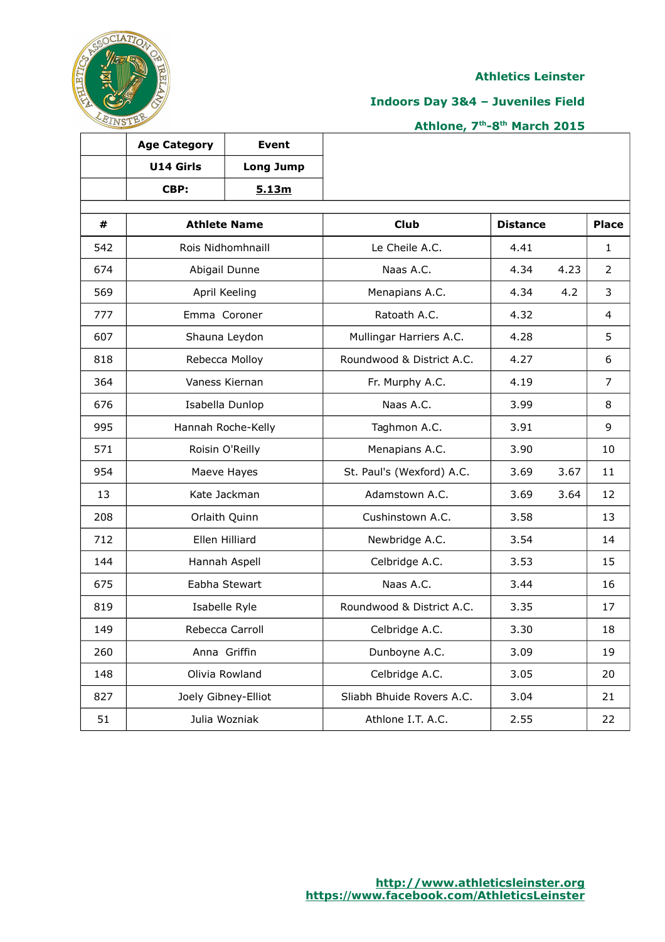

 $\overline{\phantom{a}}$ 

### **Indoors Day 3&4 – Juveniles Field**

|     | <b>Age Category</b> | <b>Event</b>        |                           |                 |      |                |
|-----|---------------------|---------------------|---------------------------|-----------------|------|----------------|
|     | U14 Girls           | <b>Long Jump</b>    |                           |                 |      |                |
|     | CBP:                | 5.13m               |                           |                 |      |                |
|     |                     |                     |                           |                 |      |                |
| #   | <b>Athlete Name</b> |                     | <b>Club</b>               | <b>Distance</b> |      | <b>Place</b>   |
| 542 |                     | Rois Nidhomhnaill   | Le Cheile A.C.            | 4.41            |      | $\mathbf{1}$   |
| 674 |                     | Abigail Dunne       | Naas A.C.                 | 4.34            | 4.23 | $\overline{2}$ |
| 569 |                     | April Keeling       | Menapians A.C.            | 4.34            | 4.2  | 3              |
| 777 | Emma Coroner        |                     | Ratoath A.C.              | 4.32            |      | 4              |
| 607 |                     | Shauna Leydon       | Mullingar Harriers A.C.   | 4.28            |      | 5              |
| 818 |                     | Rebecca Molloy      | Roundwood & District A.C. | 4.27            |      | 6              |
| 364 | Vaness Kiernan      |                     | Fr. Murphy A.C.           | 4.19            |      | 7              |
| 676 |                     | Isabella Dunlop     | Naas A.C.                 | 3.99            |      | 8              |
| 995 |                     | Hannah Roche-Kelly  | Taghmon A.C.              | 3.91            |      | 9              |
| 571 |                     | Roisin O'Reilly     | Menapians A.C.            | 3.90            |      | 10             |
| 954 |                     | Maeve Hayes         | St. Paul's (Wexford) A.C. | 3.69            | 3.67 | 11             |
| 13  |                     | Kate Jackman        | Adamstown A.C.            | 3.69            | 3.64 | 12             |
| 208 |                     | Orlaith Quinn       | Cushinstown A.C.          | 3.58            |      | 13             |
| 712 |                     | Ellen Hilliard      | Newbridge A.C.            | 3.54            |      | 14             |
| 144 |                     | Hannah Aspell       | Celbridge A.C.            | 3.53            |      | 15             |
| 675 |                     | Eabha Stewart       | Naas A.C.                 | 3.44            |      | 16             |
| 819 |                     | Isabelle Ryle       | Roundwood & District A.C. | 3.35            |      | 17             |
| 149 |                     | Rebecca Carroll     | Celbridge A.C.            | 3.30            |      | 18             |
| 260 |                     | Anna Griffin        | Dunboyne A.C.             | 3.09            |      | 19             |
| 148 |                     | Olivia Rowland      | Celbridge A.C.            | 3.05            |      | 20             |
| 827 |                     | Joely Gibney-Elliot | Sliabh Bhuide Rovers A.C. | 3.04            |      | 21             |
| 51  |                     | Julia Wozniak       | Athlone I.T. A.C.         | 2.55            |      | 22             |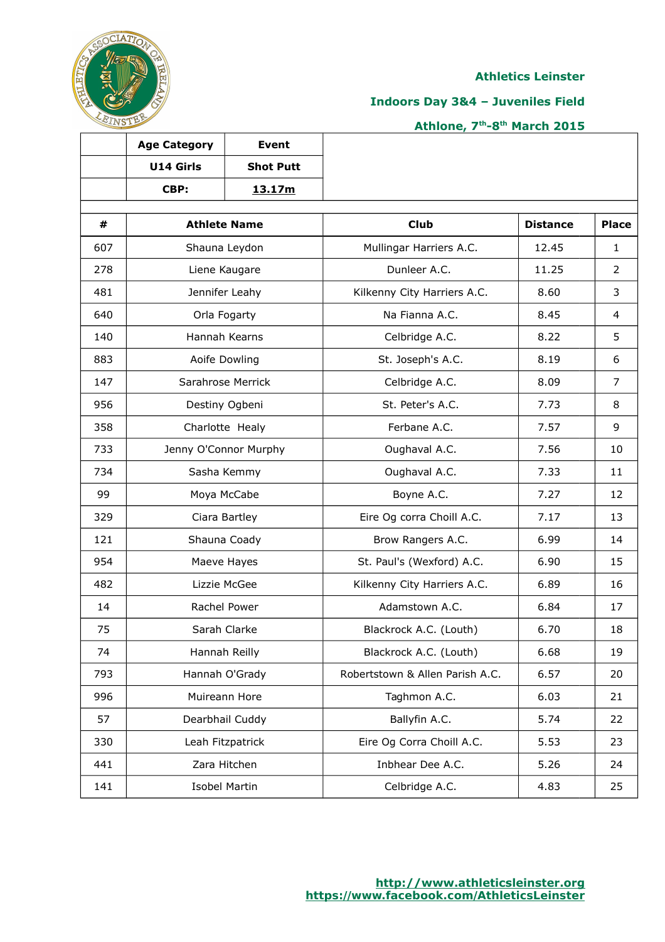

## **Indoors Day 3&4 – Juveniles Field**

## **Athlone, 7th-8th March 2015**

|     | <b>Age Category</b> | <b>Event</b>          |                                 |                 |                |
|-----|---------------------|-----------------------|---------------------------------|-----------------|----------------|
|     | U14 Girls           | <b>Shot Putt</b>      |                                 |                 |                |
|     | CBP:                | 13.17m                |                                 |                 |                |
|     |                     |                       |                                 |                 |                |
| #   |                     | <b>Athlete Name</b>   | <b>Club</b>                     | <b>Distance</b> | <b>Place</b>   |
| 607 |                     | Shauna Leydon         | Mullingar Harriers A.C.         | 12.45           | $\mathbf{1}$   |
| 278 |                     | Liene Kaugare         | Dunleer A.C.                    | 11.25           | $\overline{2}$ |
| 481 |                     | Jennifer Leahy        | Kilkenny City Harriers A.C.     | 8.60            | 3              |
| 640 |                     | Orla Fogarty          | Na Fianna A.C.                  | 8.45            | $\overline{4}$ |
| 140 |                     | Hannah Kearns         | Celbridge A.C.                  | 8.22            | 5              |
| 883 |                     | Aoife Dowling         | St. Joseph's A.C.               | 8.19            | 6              |
| 147 |                     | Sarahrose Merrick     | Celbridge A.C.                  | 8.09            | $\overline{7}$ |
| 956 |                     | Destiny Ogbeni        | St. Peter's A.C.                | 7.73            | 8              |
| 358 |                     | Charlotte Healy       | Ferbane A.C.                    | 7.57            | 9              |
| 733 |                     | Jenny O'Connor Murphy | Oughaval A.C.                   | 7.56            | 10             |
| 734 |                     | Sasha Kemmy           | Oughaval A.C.                   | 7.33            | 11             |
| 99  |                     | Moya McCabe           | Boyne A.C.                      | 7.27            | 12             |
| 329 |                     | Ciara Bartley         | Eire Og corra Choill A.C.       | 7.17            | 13             |
| 121 |                     | Shauna Coady          | Brow Rangers A.C.               | 6.99            | 14             |
| 954 |                     | Maeve Hayes           | St. Paul's (Wexford) A.C.       | 6.90            | 15             |
| 482 |                     | Lizzie McGee          | Kilkenny City Harriers A.C.     | 6.89            | 16             |
| 14  |                     | Rachel Power          | Adamstown A.C.                  | 6.84            | 17             |
| 75  |                     | Sarah Clarke          | Blackrock A.C. (Louth)          | 6.70            | 18             |
| 74  |                     | Hannah Reilly         | Blackrock A.C. (Louth)          | 6.68            | 19             |
| 793 |                     | Hannah O'Grady        | Robertstown & Allen Parish A.C. | 6.57            | 20             |
| 996 |                     | Muireann Hore         | Taghmon A.C.                    | 6.03            | 21             |
| 57  |                     | Dearbhail Cuddy       | Ballyfin A.C.                   | 5.74            | 22             |
| 330 |                     | Leah Fitzpatrick      | Eire Og Corra Choill A.C.       | 5.53            | 23             |
| 441 |                     | Zara Hitchen          | Inbhear Dee A.C.                | 5.26            | 24             |
| 141 |                     | <b>Isobel Martin</b>  | Celbridge A.C.                  | 4.83            | 25             |

Τ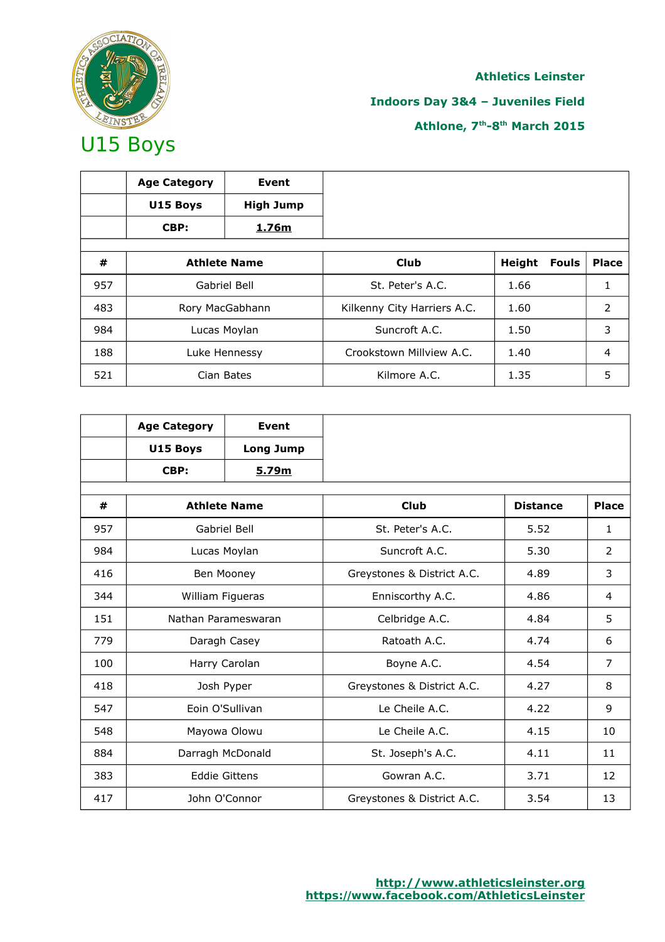

## **Indoors Day 3&4 – Juveniles Field**

|     | <b>Age Category</b> | Event               |                             |        |              |              |
|-----|---------------------|---------------------|-----------------------------|--------|--------------|--------------|
|     | U15 Boys            | <b>High Jump</b>    |                             |        |              |              |
|     | CBP:                | 1.76m               |                             |        |              |              |
|     |                     |                     |                             |        |              |              |
| #   |                     | <b>Athlete Name</b> | <b>Club</b>                 | Height | <b>Fouls</b> | <b>Place</b> |
| 957 |                     | Gabriel Bell        | St. Peter's A.C.            | 1.66   |              | 1            |
| 483 |                     | Rory MacGabhann     | Kilkenny City Harriers A.C. | 1.60   |              | 2            |
| 984 |                     | Lucas Moylan        | Suncroft A.C.               | 1.50   |              | 3            |
| 188 | Luke Hennessy       |                     | Crookstown Millview A.C.    | 1.40   |              | 4            |
| 521 |                     | Cian Bates          | Kilmore A.C.                | 1.35   |              | 5            |

|     | <b>Age Category</b> | <b>Event</b>         |                            |                 |                |
|-----|---------------------|----------------------|----------------------------|-----------------|----------------|
|     | U15 Boys            | <b>Long Jump</b>     |                            |                 |                |
|     | CBP:                | 5.79m                |                            |                 |                |
| #   | <b>Athlete Name</b> |                      | <b>Club</b>                | <b>Distance</b> | <b>Place</b>   |
| 957 |                     | Gabriel Bell         | St. Peter's A.C.           | 5.52            | 1              |
| 984 |                     | Lucas Moylan         | Suncroft A.C.              | 5.30            | 2              |
| 416 |                     | Ben Mooney           | Greystones & District A.C. | 4.89            | 3              |
| 344 | William Figueras    |                      | Enniscorthy A.C.           | 4.86            | 4              |
| 151 | Nathan Parameswaran |                      | Celbridge A.C.             | 4.84            | 5              |
| 779 |                     | Daragh Casey         | Ratoath A.C.               | 4.74            | 6              |
| 100 |                     | Harry Carolan        | Boyne A.C.                 | 4.54            | $\overline{7}$ |
| 418 |                     | Josh Pyper           | Greystones & District A.C. | 4.27            | 8              |
| 547 | Eoin O'Sullivan     |                      | Le Cheile A.C.             | 4.22            | 9              |
| 548 |                     | Mayowa Olowu         | Le Cheile A.C.             | 4.15            | 10             |
| 884 |                     | Darragh McDonald     | St. Joseph's A.C.          | 4.11            | 11             |
| 383 |                     | <b>Eddie Gittens</b> | Gowran A.C.                | 3.71            | 12             |
| 417 |                     | John O'Connor        | Greystones & District A.C. | 3.54            | 13             |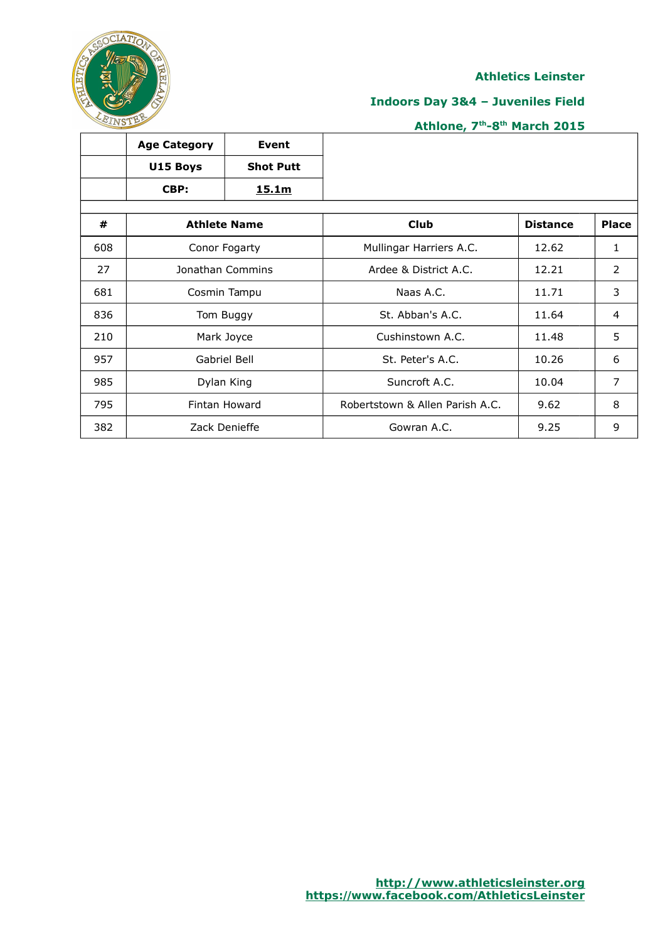

## **Indoors Day 3&4 – Juveniles Field**

|     | <b>Age Category</b> | Event               |                                 |                 |                |
|-----|---------------------|---------------------|---------------------------------|-----------------|----------------|
|     | U15 Boys            | <b>Shot Putt</b>    |                                 |                 |                |
|     | CBP:                | 15.1m               |                                 |                 |                |
|     |                     |                     |                                 |                 |                |
| #   |                     | <b>Athlete Name</b> | <b>Club</b>                     | <b>Distance</b> | <b>Place</b>   |
| 608 |                     | Conor Fogarty       | Mullingar Harriers A.C.         | 12.62           | 1              |
| 27  | Jonathan Commins    |                     | Ardee & District A.C.           | 12.21           | 2              |
| 681 | Cosmin Tampu        |                     | Naas A.C.                       | 11.71           | 3              |
| 836 |                     | Tom Buggy           | St. Abban's A.C.                | 11.64           | 4              |
| 210 |                     | Mark Joyce          | Cushinstown A.C.                | 11.48           | 5              |
| 957 |                     | Gabriel Bell        | St. Peter's A.C.                | 10.26           | 6              |
| 985 | Dylan King          |                     | Suncroft A.C.                   | 10.04           | $\overline{7}$ |
| 795 |                     | Fintan Howard       | Robertstown & Allen Parish A.C. | 9.62            | 8              |
| 382 |                     | Zack Denieffe       | Gowran A.C.                     | 9.25            | 9              |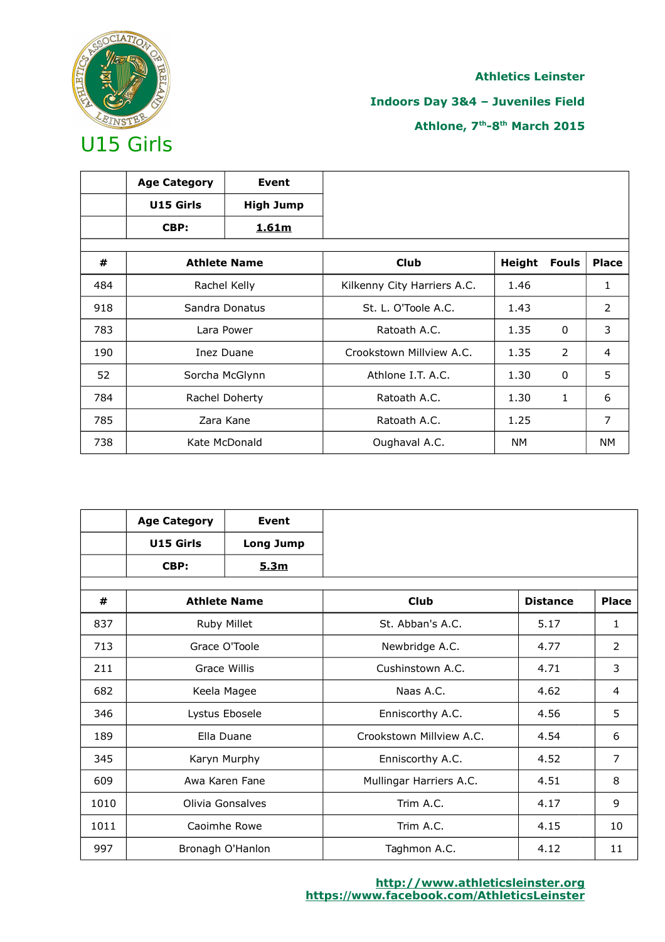

## **Indoors Day 3&4 – Juveniles Field**

|     | <b>Age Category</b> | Event               |                             |           |              |                |
|-----|---------------------|---------------------|-----------------------------|-----------|--------------|----------------|
|     | U15 Girls           | <b>High Jump</b>    |                             |           |              |                |
|     | CBP:                | 1.61m               |                             |           |              |                |
|     |                     |                     |                             |           |              |                |
| #   |                     | <b>Athlete Name</b> | <b>Club</b>                 | Height    | <b>Fouls</b> | <b>Place</b>   |
| 484 |                     | Rachel Kelly        | Kilkenny City Harriers A.C. | 1.46      |              | 1              |
| 918 | Sandra Donatus      |                     | St. L. O'Toole A.C.         | 1.43      |              | $\overline{2}$ |
| 783 |                     | Lara Power          | Ratoath A.C.                | 1.35      | $\mathbf{0}$ | 3              |
| 190 |                     | Inez Duane          | Crookstown Millyjew A.C.    | 1.35      | 2            | 4              |
| 52  |                     | Sorcha McGlynn      | Athlone I.T. A.C.           | 1.30      | $\mathbf{0}$ | 5              |
| 784 | Rachel Doherty      |                     | Ratoath A.C.                | 1.30      | $\mathbf{1}$ | 6              |
| 785 |                     | Zara Kane           | Ratoath A.C.                | 1.25      |              | 7              |
| 738 |                     | Kate McDonald       | Oughaval A.C.               | <b>NM</b> |              | <b>NM</b>      |

|      | <b>Age Category</b> | Event               |                          |                 |                |
|------|---------------------|---------------------|--------------------------|-----------------|----------------|
|      | U15 Girls           | <b>Long Jump</b>    |                          |                 |                |
|      | CBP:                | 5.3m                |                          |                 |                |
|      |                     |                     |                          |                 |                |
| #    |                     | <b>Athlete Name</b> | <b>Club</b>              | <b>Distance</b> | <b>Place</b>   |
| 837  |                     | Ruby Millet         | St. Abban's A.C.         | 5.17            | $\mathbf{1}$   |
| 713  |                     | Grace O'Toole       | Newbridge A.C.           | 4.77            | 2              |
| 211  | Grace Willis        |                     | Cushinstown A.C.         | 4.71            | 3              |
| 682  |                     | Keela Magee         | Naas A.C.                | 4.62            | 4              |
| 346  |                     | Lystus Ebosele      | Enniscorthy A.C.         | 4.56            | 5              |
| 189  |                     | Ella Duane          | Crookstown Millview A.C. | 4.54            | 6              |
| 345  |                     | Karyn Murphy        | Enniscorthy A.C.         | 4.52            | $\overline{7}$ |
| 609  |                     | Awa Karen Fane      | Mullingar Harriers A.C.  | 4.51            | 8              |
| 1010 |                     | Olivia Gonsalves    | Trim A.C.                | 4.17            | 9              |
| 1011 |                     | Caoimhe Rowe        | Trim A.C.                | 4.15            | 10             |
| 997  |                     | Bronagh O'Hanlon    | Taghmon A.C.             | 4.12            | 11             |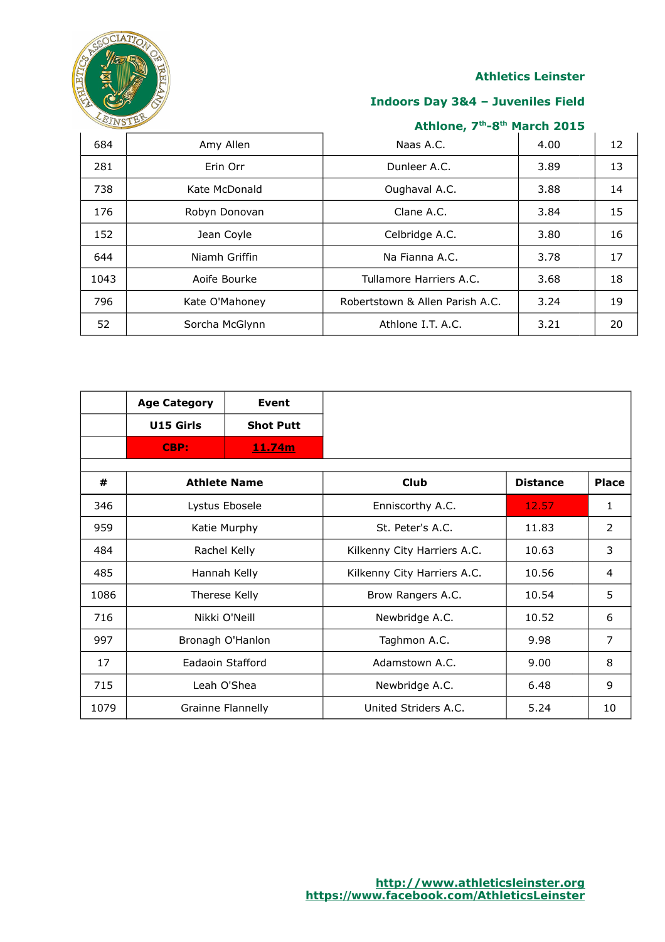

## **Indoors Day 3&4 – Juveniles Field**

| 684  | Amy Allen      | Naas A.C.                       | 4.00 | 12 |
|------|----------------|---------------------------------|------|----|
| 281  | Erin Orr       | Dunleer A.C.                    | 3.89 | 13 |
| 738  | Kate McDonald  | Oughaval A.C.                   | 3.88 | 14 |
| 176  | Robyn Donovan  | Clane A.C.                      | 3.84 | 15 |
| 152  | Jean Coyle     | Celbridge A.C.                  | 3.80 | 16 |
| 644  | Niamh Griffin  | Na Fianna A.C.                  | 3.78 | 17 |
| 1043 | Aoife Bourke   | Tullamore Harriers A.C.         | 3.68 | 18 |
| 796  | Kate O'Mahoney | Robertstown & Allen Parish A.C. | 3.24 | 19 |
| 52   | Sorcha McGlynn | Athlone I.T. A.C.               | 3.21 | 20 |

|      | <b>Age Category</b> | Event             |                             |                 |                |
|------|---------------------|-------------------|-----------------------------|-----------------|----------------|
|      | U15 Girls           | <b>Shot Putt</b>  |                             |                 |                |
|      | CBP:                | 11.74m            |                             |                 |                |
|      |                     |                   |                             |                 |                |
| #    | <b>Athlete Name</b> |                   | <b>Club</b>                 | <b>Distance</b> | <b>Place</b>   |
| 346  |                     | Lystus Ebosele    | Enniscorthy A.C.            | 12.57           | 1              |
| 959  | Katie Murphy        |                   | St. Peter's A.C.            | 11.83           | 2              |
| 484  | Rachel Kelly        |                   | Kilkenny City Harriers A.C. | 10.63           | 3              |
| 485  |                     | Hannah Kelly      | Kilkenny City Harriers A.C. | 10.56           | 4              |
| 1086 |                     | Therese Kelly     | Brow Rangers A.C.           | 10.54           | 5              |
| 716  | Nikki O'Neill       |                   | Newbridge A.C.              | 10.52           | 6              |
| 997  | Bronagh O'Hanlon    |                   | Taghmon A.C.                | 9.98            | $\overline{7}$ |
| 17   | Eadaoin Stafford    |                   | Adamstown A.C.              | 9.00            | 8              |
| 715  |                     | Leah O'Shea       | Newbridge A.C.              | 6.48            | 9              |
| 1079 |                     | Grainne Flannelly | United Striders A.C.        | 5.24            | 10             |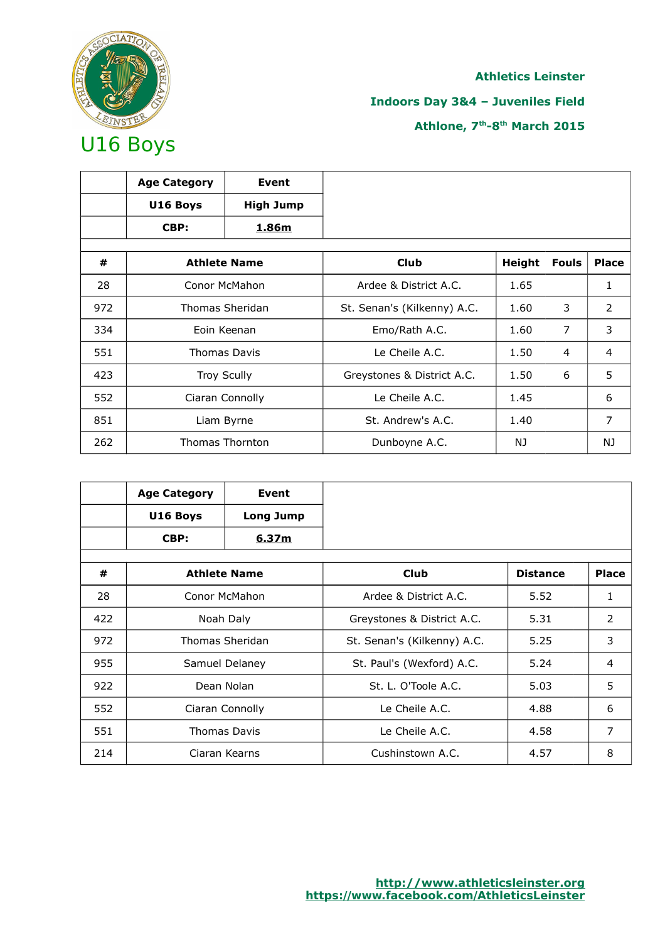

## **Indoors Day 3&4 – Juveniles Field**

|     | <b>Age Category</b> | Event                  |                             |               |              |              |
|-----|---------------------|------------------------|-----------------------------|---------------|--------------|--------------|
|     | U16 Boys            | <b>High Jump</b>       |                             |               |              |              |
|     | CBP:                | <u>1.86m</u>           |                             |               |              |              |
|     |                     |                        |                             |               |              |              |
| #   |                     | <b>Athlete Name</b>    | <b>Club</b>                 | <b>Height</b> | <b>Fouls</b> | <b>Place</b> |
| 28  |                     | Conor McMahon          | Ardee & District A.C.       | 1.65          |              | 1            |
| 972 | Thomas Sheridan     |                        | St. Senan's (Kilkenny) A.C. | 1.60          | 3            | 2            |
| 334 |                     | Eoin Keenan            | Emo/Rath A.C.               | 1.60          | 7            | 3            |
| 551 |                     | <b>Thomas Davis</b>    | Le Cheile A.C.              | 1.50          | 4            | 4            |
| 423 |                     | <b>Troy Scully</b>     | Greystones & District A.C.  | 1.50          | 6            | 5            |
| 552 | Ciaran Connolly     |                        | Le Cheile A.C.              | 1.45          |              | 6            |
| 851 |                     | Liam Byrne             | St. Andrew's A.C.           | 1.40          |              | 7            |
| 262 |                     | <b>Thomas Thornton</b> | Dunboyne A.C.               | NJ            |              | NJ           |

|     | <b>Age Category</b> | Event               |                             |                 |                |
|-----|---------------------|---------------------|-----------------------------|-----------------|----------------|
|     | U16 Boys            | <b>Long Jump</b>    |                             |                 |                |
|     | CBP:                | <u>6.37m</u>        |                             |                 |                |
|     |                     |                     |                             |                 |                |
| #   |                     | <b>Athlete Name</b> | <b>Club</b>                 | <b>Distance</b> | <b>Place</b>   |
| 28  |                     | Conor McMahon       | Ardee & District A.C.       | 5.52            | $\mathbf{1}$   |
| 422 | Noah Daly           |                     | Greystones & District A.C.  | 5.31            | 2              |
| 972 |                     | Thomas Sheridan     | St. Senan's (Kilkenny) A.C. | 5.25            | 3              |
| 955 |                     | Samuel Delaney      | St. Paul's (Wexford) A.C.   | 5.24            | $\overline{4}$ |
| 922 |                     | Dean Nolan          | St. L. O'Toole A.C.         | 5.03            | 5              |
| 552 | Ciaran Connolly     |                     | Le Cheile A.C.              | 4.88            | 6              |
| 551 |                     | <b>Thomas Davis</b> | Le Cheile A.C.              | 4.58            | 7              |
| 214 |                     | Ciaran Kearns       | Cushinstown A.C.            | 4.57            | 8              |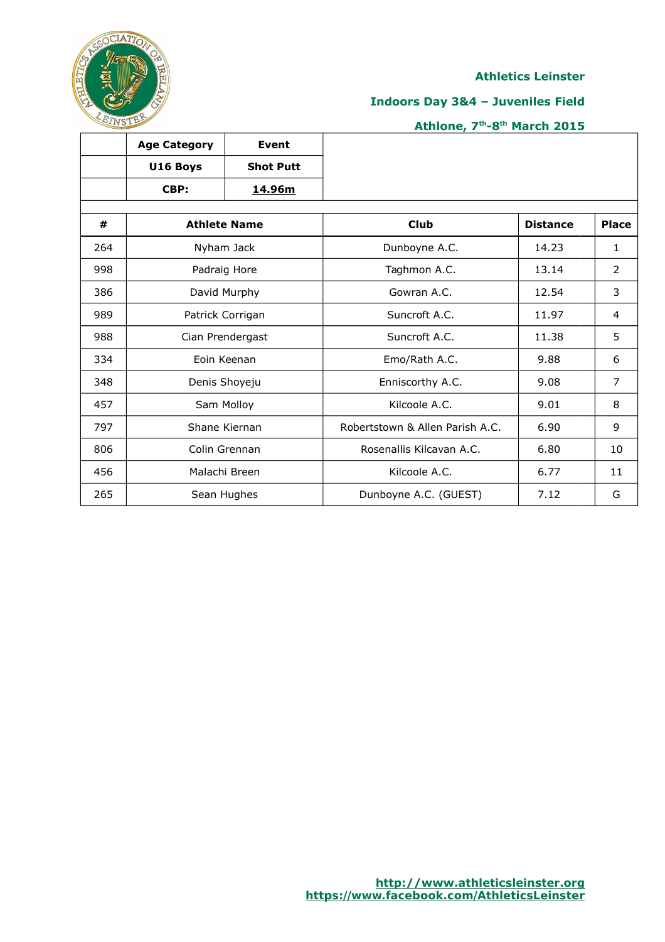

٦

## **Indoors Day 3&4 – Juveniles Field**

## **Athlone, 7th-8th March 2015**

|     | <b>Age Category</b> | <b>Event</b>        |                                 |                 |                |
|-----|---------------------|---------------------|---------------------------------|-----------------|----------------|
|     | U16 Boys            | <b>Shot Putt</b>    |                                 |                 |                |
|     | CBP:                | 14.96m              |                                 |                 |                |
| #   |                     | <b>Athlete Name</b> | <b>Club</b>                     | <b>Distance</b> | <b>Place</b>   |
| 264 |                     | Nyham Jack          | Dunboyne A.C.                   | 14.23           | $\mathbf{1}$   |
| 998 |                     | Padraig Hore        | Taghmon A.C.                    | 13.14           | $\overline{2}$ |
| 386 |                     | David Murphy        | Gowran A.C.                     | 12.54           | 3              |
| 989 |                     | Patrick Corrigan    | Suncroft A.C.                   | 11.97           | 4              |
| 988 |                     | Cian Prendergast    | Suncroft A.C.                   | 11.38           | 5              |
| 334 |                     | Eoin Keenan         | Emo/Rath A.C.                   | 9.88            | 6              |
| 348 |                     | Denis Shoyeju       | Enniscorthy A.C.                | 9.08            | $\overline{7}$ |
| 457 |                     | Sam Molloy          | Kilcoole A.C.                   | 9.01            | 8              |
| 797 |                     | Shane Kiernan       | Robertstown & Allen Parish A.C. | 6.90            | 9              |
| 806 |                     | Colin Grennan       | Rosenallis Kilcavan A.C.        | 6.80            | 10             |
| 456 |                     | Malachi Breen       | Kilcoole A.C.                   | 6.77            | 11             |
| 265 |                     | Sean Hughes         | Dunboyne A.C. (GUEST)           | 7.12            | G              |

 $\top$ 

ℸ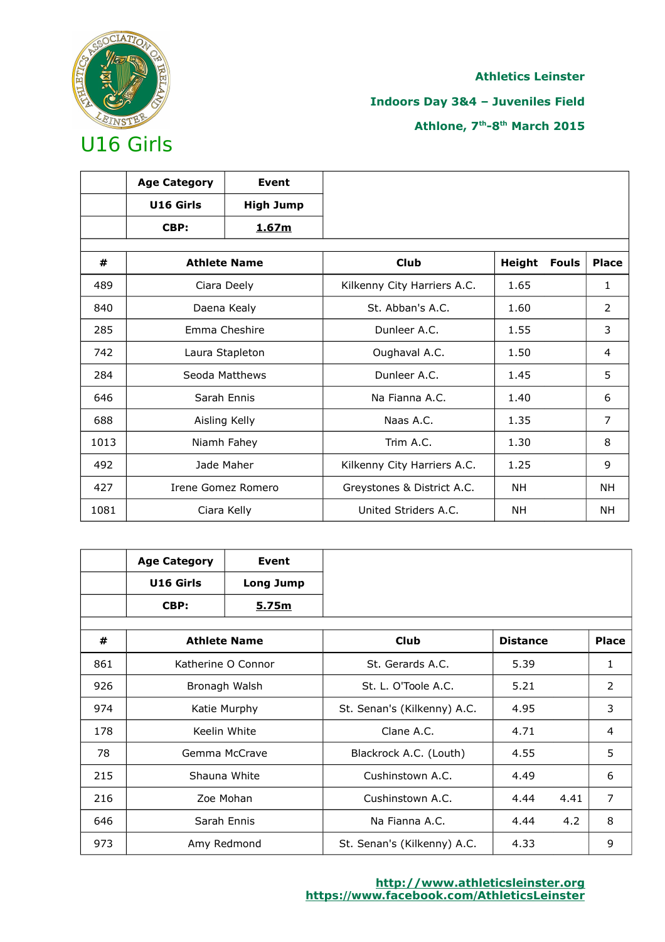

## **Indoors Day 3&4 – Juveniles Field**

|      | <b>Age Category</b> | <b>Event</b>        |                             |               |              |              |
|------|---------------------|---------------------|-----------------------------|---------------|--------------|--------------|
|      | U16 Girls           | <b>High Jump</b>    |                             |               |              |              |
|      | CBP:                | <u>1.67m</u>        |                             |               |              |              |
|      |                     |                     |                             |               |              |              |
| #    |                     | <b>Athlete Name</b> | <b>Club</b>                 | <b>Height</b> | <b>Fouls</b> | <b>Place</b> |
| 489  |                     | Ciara Deely         | Kilkenny City Harriers A.C. | 1.65          |              | 1            |
| 840  |                     | Daena Kealy         | St. Abban's A.C.            | 1.60          |              | 2            |
| 285  | Emma Cheshire       |                     | Dunleer A.C.                | 1.55          |              | 3            |
| 742  | Laura Stapleton     |                     | Oughaval A.C.               | 1.50          |              | 4            |
| 284  |                     | Seoda Matthews      | Dunleer A.C.                | 1.45          |              | 5            |
| 646  |                     | Sarah Ennis         | Na Fianna A.C.              | 1.40          |              | 6            |
| 688  |                     | Aisling Kelly       | Naas A.C.                   | 1.35          |              | 7            |
| 1013 |                     | Niamh Fahey         | Trim A.C.                   | 1.30          |              | 8            |
| 492  |                     | Jade Maher          | Kilkenny City Harriers A.C. | 1.25          |              | 9            |
| 427  |                     | Irene Gomez Romero  | Greystones & District A.C.  | <b>NH</b>     |              | NΗ           |
| 1081 |                     | Ciara Kelly         | United Striders A.C.        | NΗ            |              | NΗ           |

|     | <b>Age Category</b> | Event               |                             |                 |      |                |
|-----|---------------------|---------------------|-----------------------------|-----------------|------|----------------|
|     | U16 Girls           | <b>Long Jump</b>    |                             |                 |      |                |
|     | CBP:                | 5.75m               |                             |                 |      |                |
| #   |                     | <b>Athlete Name</b> | <b>Club</b>                 | <b>Distance</b> |      | <b>Place</b>   |
| 861 |                     | Katherine O Connor  | St. Gerards A.C.            | 5.39            |      | 1              |
| 926 |                     | Bronagh Walsh       | St. L. O'Toole A.C.         | 5.21            |      | 2              |
| 974 |                     | Katie Murphy        | St. Senan's (Kilkenny) A.C. | 4.95            |      | 3              |
| 178 |                     | Keelin White        | Clane A.C.                  | 4.71            |      | $\overline{4}$ |
| 78  |                     | Gemma McCrave       | Blackrock A.C. (Louth)      | 4.55            |      | 5              |
| 215 |                     | Shauna White        | Cushinstown A.C.            | 4.49            |      | 6              |
| 216 |                     | Zoe Mohan           | Cushinstown A.C.            | 4.44            | 4.41 | $\overline{7}$ |
| 646 |                     | Sarah Ennis         | Na Fianna A.C.              | 4.44            | 4.2  | 8              |
| 973 |                     | Amy Redmond         | St. Senan's (Kilkenny) A.C. | 4.33            |      | 9              |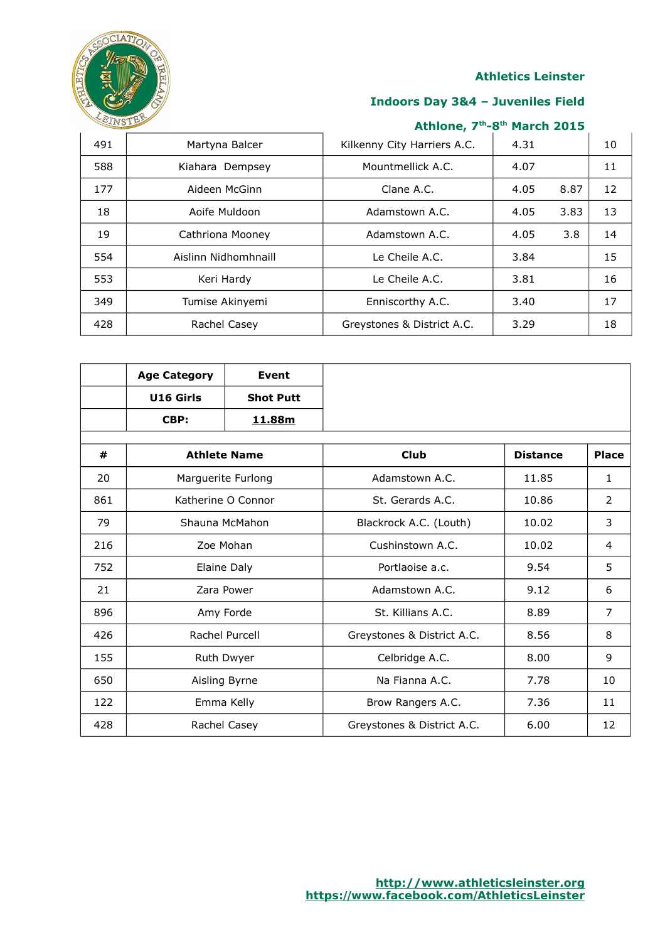

## **Indoors Day 3&4 – Juveniles Field**

| 491 | Martyna Balcer       | Kilkenny City Harriers A.C. | 4.31 |      | 10 |
|-----|----------------------|-----------------------------|------|------|----|
| 588 | Kiahara Dempsey      | Mountmellick A.C.           | 4.07 |      | 11 |
| 177 | Aideen McGinn        | Clane A.C.                  | 4.05 | 8.87 | 12 |
| 18  | Aoife Muldoon        | Adamstown A.C.              | 4.05 | 3.83 | 13 |
| 19  | Cathriona Mooney     | Adamstown A.C.              | 4.05 | 3.8  | 14 |
| 554 | Aislinn Nidhomhnaill | Le Cheile A.C.              | 3.84 |      | 15 |
| 553 | Keri Hardy           | Le Cheile A.C.              | 3.81 |      | 16 |
| 349 | Tumise Akinyemi      | Enniscorthy A.C.            | 3.40 |      | 17 |
| 428 | Rachel Casey         | Greystones & District A.C.  | 3.29 |      | 18 |

|     | <b>Age Category</b> | <b>Event</b>        |                            |                 |                |
|-----|---------------------|---------------------|----------------------------|-----------------|----------------|
|     | U16 Girls           | <b>Shot Putt</b>    |                            |                 |                |
|     | CBP:                | 11.88m              |                            |                 |                |
| #   |                     | <b>Athlete Name</b> | <b>Club</b>                | <b>Distance</b> | <b>Place</b>   |
| 20  |                     | Marguerite Furlong  | Adamstown A.C.             | 11.85           | 1              |
| 861 |                     | Katherine O Connor  | St. Gerards A.C.           | 10.86           | 2              |
| 79  |                     | Shauna McMahon      | Blackrock A.C. (Louth)     | 10.02           | 3              |
| 216 |                     | Zoe Mohan           | Cushinstown A.C.           | 10.02           | $\overline{4}$ |
| 752 |                     | Elaine Daly         | Portlaoise a.c.            | 9.54            | 5              |
| 21  |                     | Zara Power          | Adamstown A.C.             | 9.12            | 6              |
| 896 |                     | Amy Forde           | St. Killians A.C.          | 8.89            | $\overline{7}$ |
| 426 |                     | Rachel Purcell      | Greystones & District A.C. | 8.56            | 8              |
| 155 |                     | Ruth Dwyer          | Celbridge A.C.             | 8.00            | 9              |
| 650 |                     | Aisling Byrne       | Na Fianna A.C.             | 7.78            | 10             |
| 122 |                     | Emma Kelly          | Brow Rangers A.C.          | 7.36            | 11             |
| 428 |                     | Rachel Casey        | Greystones & District A.C. | 6.00            | 12             |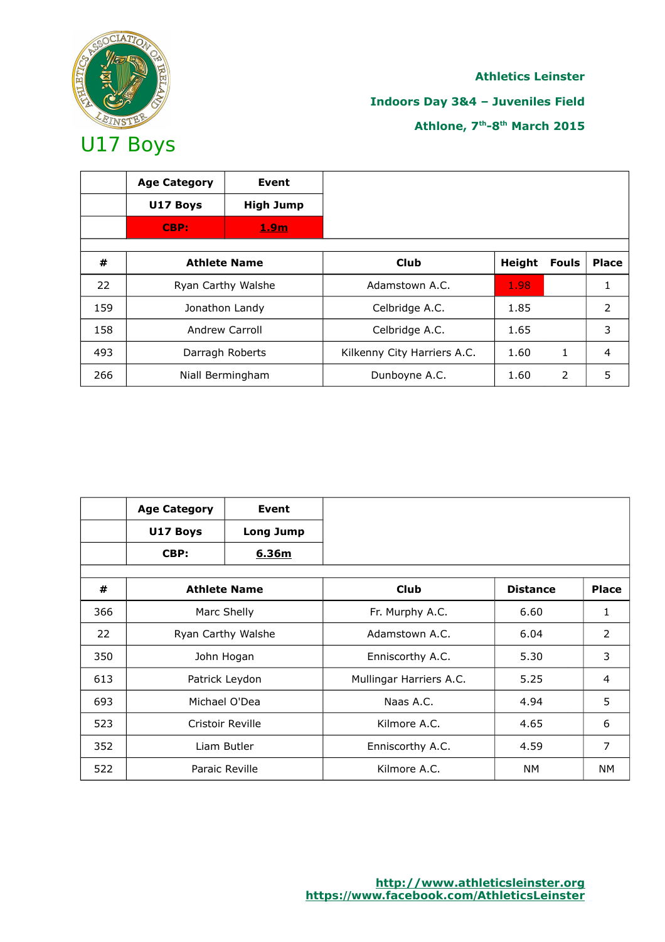

# **Athletics Leinster Indoors Day 3&4 – Juveniles Field Athlone, 7th-8th March 2015**

|     | <b>Age Category</b> | Event            |                             |        |              |               |
|-----|---------------------|------------------|-----------------------------|--------|--------------|---------------|
|     | U17 Boys            | <b>High Jump</b> |                             |        |              |               |
|     | CBP:                | 1.9m             |                             |        |              |               |
|     |                     |                  |                             |        |              |               |
| #   | <b>Athlete Name</b> |                  | <b>Club</b>                 | Height | <b>Fouls</b> | <b>Place</b>  |
| 22  | Ryan Carthy Walshe  |                  | Adamstown A.C.              | 1.98   |              |               |
| 159 |                     | Jonathon Landy   | Celbridge A.C.              | 1.85   |              | $\mathcal{P}$ |
| 158 |                     | Andrew Carroll   | Celbridge A.C.              | 1.65   |              | 3             |
| 493 |                     | Darragh Roberts  | Kilkenny City Harriers A.C. | 1.60   | 1            | 4             |
| 266 |                     | Niall Bermingham | Dunboyne A.C.               | 1.60   | 2            | 5             |

|     | <b>Age Category</b> | Event               |                         |                 |                |
|-----|---------------------|---------------------|-------------------------|-----------------|----------------|
|     | U17 Boys            | <b>Long Jump</b>    |                         |                 |                |
|     | CBP:                | 6.36m               |                         |                 |                |
|     |                     |                     |                         |                 |                |
| #   |                     | <b>Athlete Name</b> | <b>Club</b>             | <b>Distance</b> | <b>Place</b>   |
| 366 |                     | Marc Shelly         | Fr. Murphy A.C.         | 6.60            | 1              |
| 22  | Ryan Carthy Walshe  |                     | Adamstown A.C.          | 6.04            | $\overline{2}$ |
| 350 |                     | John Hogan          | Enniscorthy A.C.        | 5.30            | 3              |
| 613 |                     | Patrick Leydon      | Mullingar Harriers A.C. | 5.25            | 4              |
| 693 |                     | Michael O'Dea       | Naas A.C.               | 4.94            | 5              |
| 523 |                     | Cristoir Reville    | Kilmore A.C.            | 4.65            | 6              |
| 352 |                     | Liam Butler         | Enniscorthy A.C.        | 4.59            | 7              |
| 522 |                     | Paraic Reville      | Kilmore A.C.            | NM.             | NM.            |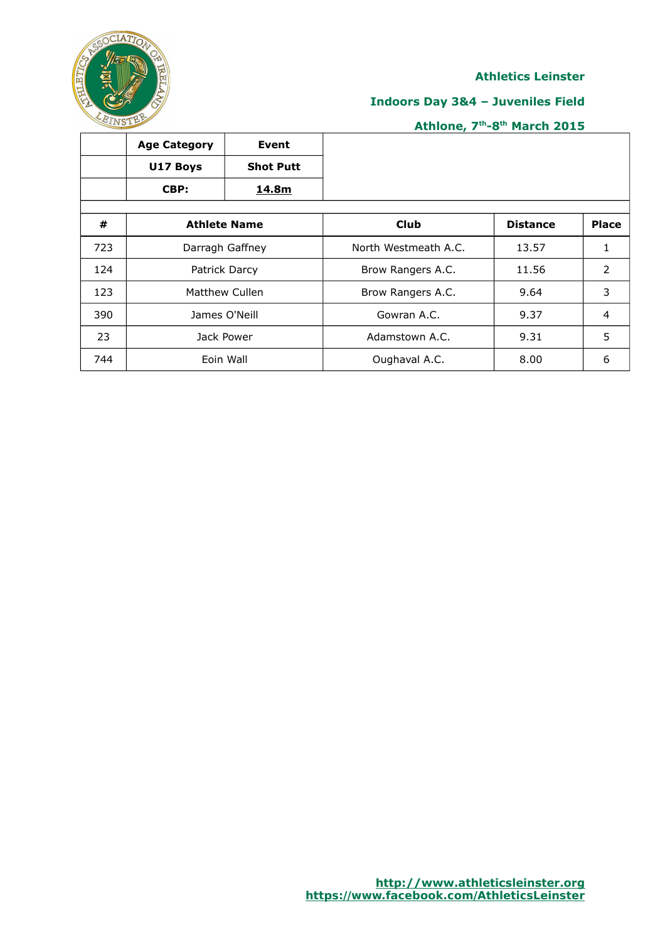

## **Indoors Day 3&4 – Juveniles Field**

|     | <b>Age Category</b> | Event               |                      |                 |              |
|-----|---------------------|---------------------|----------------------|-----------------|--------------|
|     | U17 Boys            | <b>Shot Putt</b>    |                      |                 |              |
|     | CBP:                | 14.8m               |                      |                 |              |
|     |                     |                     |                      |                 |              |
| #   |                     | <b>Athlete Name</b> | <b>Club</b>          | <b>Distance</b> | <b>Place</b> |
| 723 |                     | Darragh Gaffney     | North Westmeath A.C. | 13.57           |              |
| 124 |                     | Patrick Darcy       | Brow Rangers A.C.    | 11.56           | 2            |
| 123 |                     | Matthew Cullen      | Brow Rangers A.C.    | 9.64            | 3            |
| 390 |                     | James O'Neill       | Gowran A.C.          | 9.37            | 4            |
| 23  |                     | Jack Power          | Adamstown A.C.       | 9.31            | 5            |
| 744 |                     | Eoin Wall           | Oughaval A.C.        | 8.00            | 6            |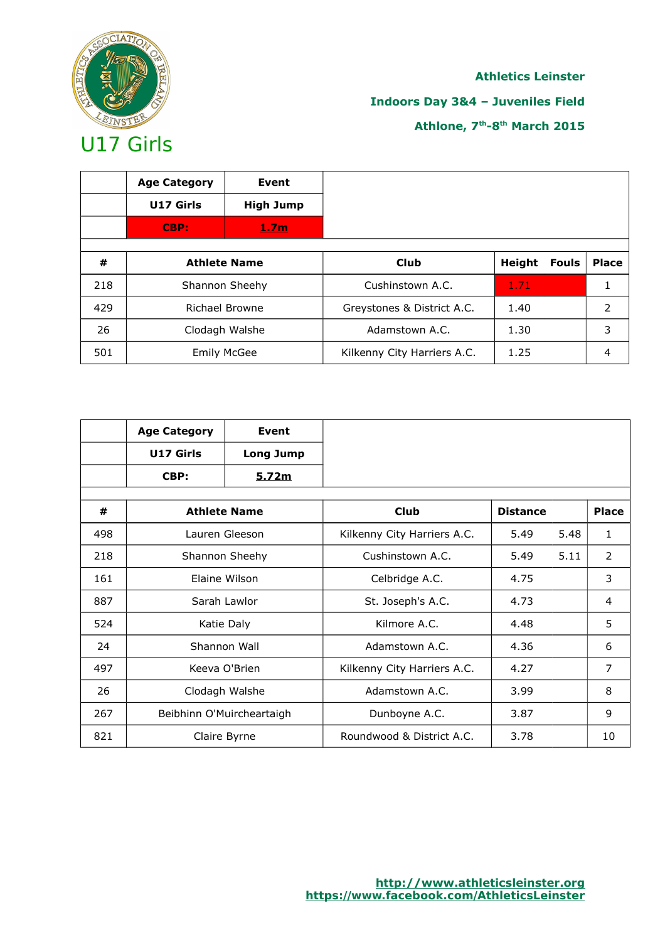

## **Indoors Day 3&4 – Juveniles Field**

|     | <b>Age Category</b> | Event               |                             |        |       |               |
|-----|---------------------|---------------------|-----------------------------|--------|-------|---------------|
|     | U17 Girls           | <b>High Jump</b>    |                             |        |       |               |
|     | CBP:                | <u>1.7m</u>         |                             |        |       |               |
|     |                     |                     |                             |        |       |               |
| #   |                     | <b>Athlete Name</b> | Club                        | Height | Fouls | <b>Place</b>  |
| 218 |                     | Shannon Sheehy      | Cushinstown A.C.            | 1.71   |       |               |
| 429 | Richael Browne      |                     | Greystones & District A.C.  | 1.40   |       | $\mathcal{P}$ |
| 26  |                     | Clodagh Walshe      | Adamstown A.C.              | 1.30   |       | 3             |
| 501 |                     | <b>Emily McGee</b>  | Kilkenny City Harriers A.C. | 1.25   |       |               |

|     | <b>Age Category</b> | Event                     |                             |                 |      |                |
|-----|---------------------|---------------------------|-----------------------------|-----------------|------|----------------|
|     | U17 Girls           | <b>Long Jump</b>          |                             |                 |      |                |
|     | CBP:                | <u>5.72m</u>              |                             |                 |      |                |
| #   |                     | <b>Athlete Name</b>       | <b>Club</b>                 | <b>Distance</b> |      | <b>Place</b>   |
| 498 |                     | Lauren Gleeson            | Kilkenny City Harriers A.C. | 5.49            | 5.48 | $\mathbf{1}$   |
| 218 |                     | Shannon Sheehy            | Cushinstown A.C.            | 5.49            | 5.11 | 2              |
| 161 | Flaine Wilson       |                           | Celbridge A.C.              | 4.75            |      | 3              |
| 887 |                     | Sarah Lawlor              | St. Joseph's A.C.           | 4.73            |      | 4              |
| 524 |                     | Katie Daly                | Kilmore A.C.                | 4.48            |      | 5              |
| 24  |                     | Shannon Wall              | Adamstown A.C.              | 4.36            |      | 6              |
| 497 |                     | Keeva O'Brien             | Kilkenny City Harriers A.C. | 4.27            |      | $\overline{7}$ |
| 26  |                     | Clodagh Walshe            | Adamstown A.C.              | 3.99            |      | 8              |
| 267 |                     | Beibhinn O'Muircheartaigh | Dunboyne A.C.               | 3.87            |      | 9              |
| 821 |                     | Claire Byrne              | Roundwood & District A.C.   | 3.78            |      | 10             |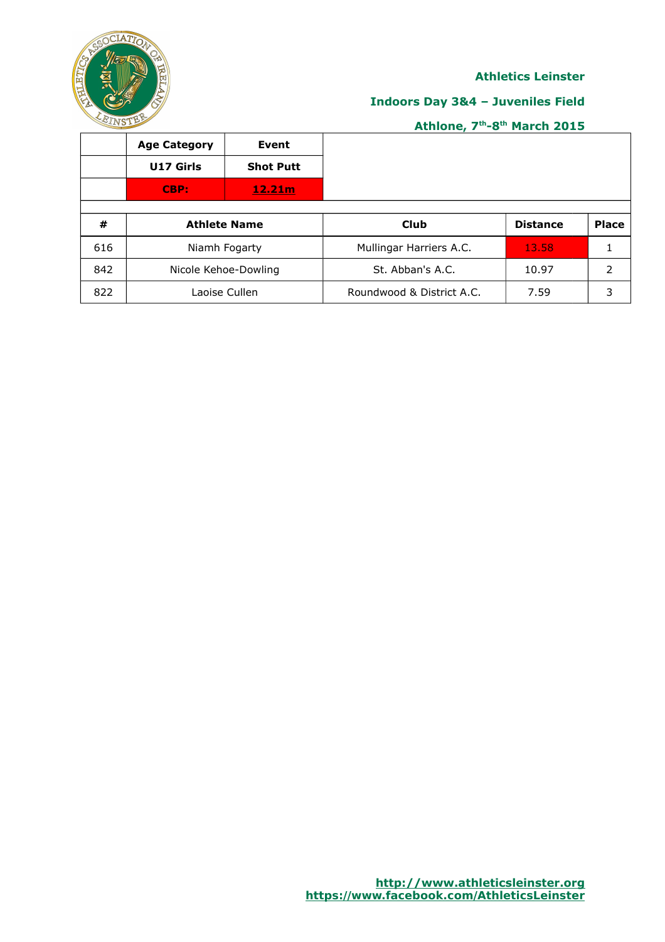

## **Indoors Day 3&4 – Juveniles Field**

|     | <b>Age Category</b>  | Event            |                           |                 |              |
|-----|----------------------|------------------|---------------------------|-----------------|--------------|
|     | U17 Girls            | <b>Shot Putt</b> |                           |                 |              |
|     | CBP:                 | 12.21m           |                           |                 |              |
|     |                      |                  |                           |                 |              |
| #   | <b>Athlete Name</b>  |                  | <b>Club</b>               | <b>Distance</b> | <b>Place</b> |
| 616 | Niamh Fogarty        |                  | Mullingar Harriers A.C.   | 13.58           |              |
| 842 | Nicole Kehoe-Dowling |                  | St. Abban's A.C.          | 10.97           | っ            |
| 822 |                      | Laoise Cullen    | Roundwood & District A.C. | 7.59            | 3            |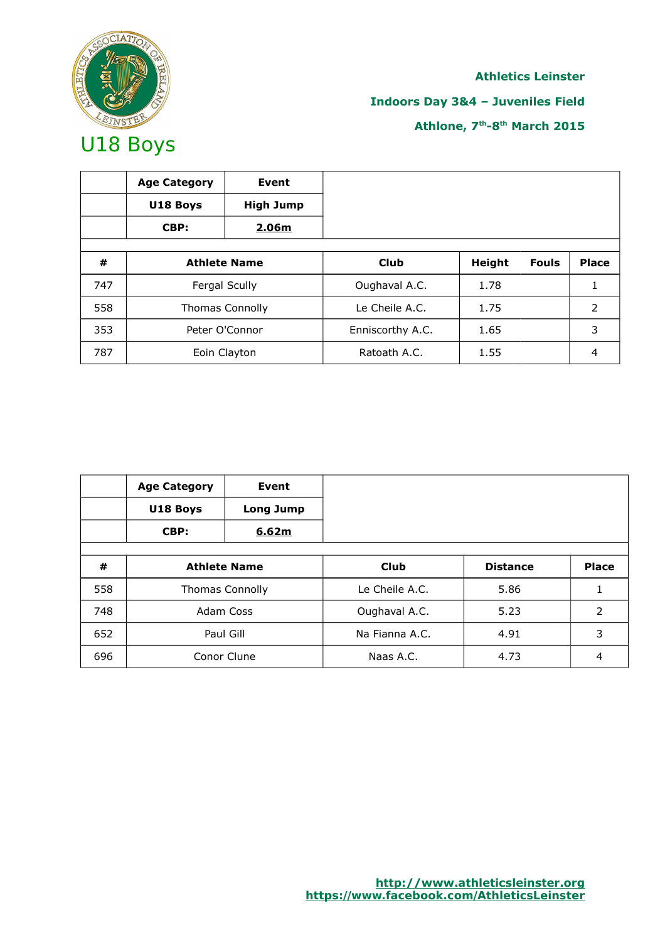

# **Athletics Leinster Indoors Day 3&4 – Juveniles Field Athlone, 7th-8th March 2015**

|     | <b>Age Category</b><br>U18 Boys<br>CBP: | <b>Event</b><br><b>High Jump</b><br>2.06m |                  |               |              |              |
|-----|-----------------------------------------|-------------------------------------------|------------------|---------------|--------------|--------------|
| #   |                                         | <b>Athlete Name</b>                       | <b>Club</b>      | <b>Height</b> | <b>Fouls</b> | <b>Place</b> |
| 747 |                                         | Fergal Scully                             | Oughaval A.C.    | 1.78          |              |              |
| 558 |                                         | <b>Thomas Connolly</b>                    | Le Cheile A.C.   | 1.75          |              | 2            |
| 353 |                                         | Peter O'Connor                            | Enniscorthy A.C. | 1.65          |              | 3            |
| 787 |                                         | Eoin Clayton                              | Ratoath A.C.     | 1.55          |              | 4            |

|     | <b>Age Category</b><br>U18 Boys<br>CBP: | Event<br>Long Jump<br>6.62m |                |                 |              |
|-----|-----------------------------------------|-----------------------------|----------------|-----------------|--------------|
| #   |                                         | <b>Athlete Name</b>         | <b>Club</b>    | <b>Distance</b> | <b>Place</b> |
| 558 |                                         | <b>Thomas Connolly</b>      | Le Cheile A.C. | 5.86            |              |
| 748 |                                         | Adam Coss                   | Oughaval A.C.  | 5.23            | 2            |
| 652 |                                         | Paul Gill                   | Na Fianna A.C. | 4.91            | 3            |
| 696 |                                         | Conor Clune                 | Naas A.C.      | 4.73            | 4            |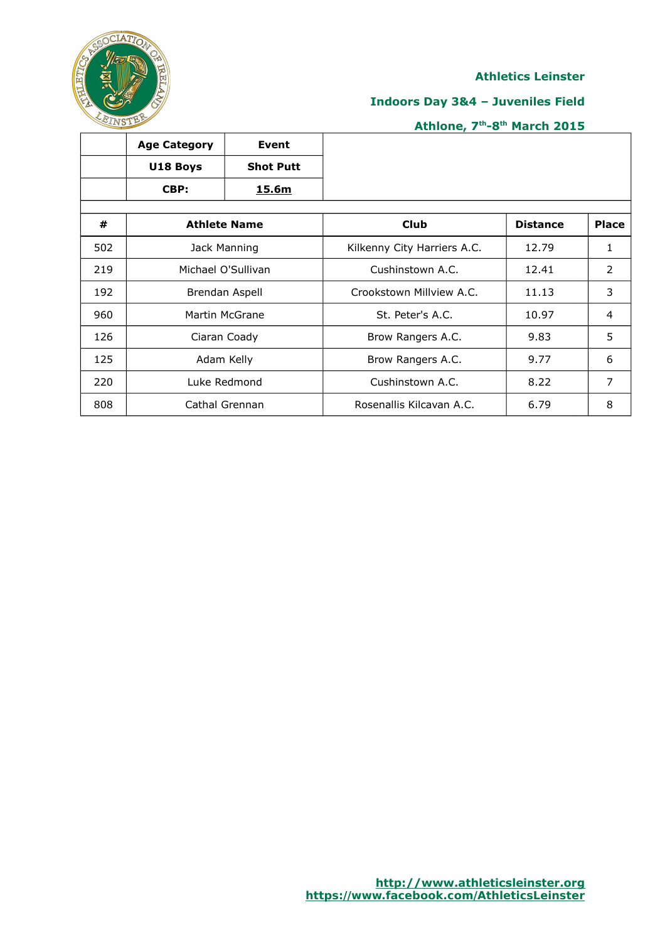

## **Indoors Day 3&4 – Juveniles Field**

|     | <b>Age Category</b> | Event               |                             |                 |                |
|-----|---------------------|---------------------|-----------------------------|-----------------|----------------|
|     | U18 Boys            | <b>Shot Putt</b>    |                             |                 |                |
|     | CBP:                | 15.6m               |                             |                 |                |
|     |                     |                     |                             |                 |                |
| #   |                     | <b>Athlete Name</b> | Club                        | <b>Distance</b> | <b>Place</b>   |
| 502 |                     | Jack Manning        | Kilkenny City Harriers A.C. | 12.79           | 1              |
| 219 | Michael O'Sullivan  |                     | Cushinstown A.C.            | 12.41           | $\overline{2}$ |
| 192 |                     | Brendan Aspell      | Crookstown Millyjew A.C.    | 11.13           | 3              |
| 960 |                     | Martin McGrane      | St. Peter's A.C.            | 10.97           | 4              |
| 126 |                     | Ciaran Coady        | Brow Rangers A.C.           | 9.83            | 5              |
| 125 |                     | Adam Kelly          | Brow Rangers A.C.           | 9.77            | 6              |
| 220 |                     | Luke Redmond        | Cushinstown A.C.            | 8.22            | 7              |
| 808 |                     | Cathal Grennan      | Rosenallis Kilcavan A.C.    | 6.79            | 8              |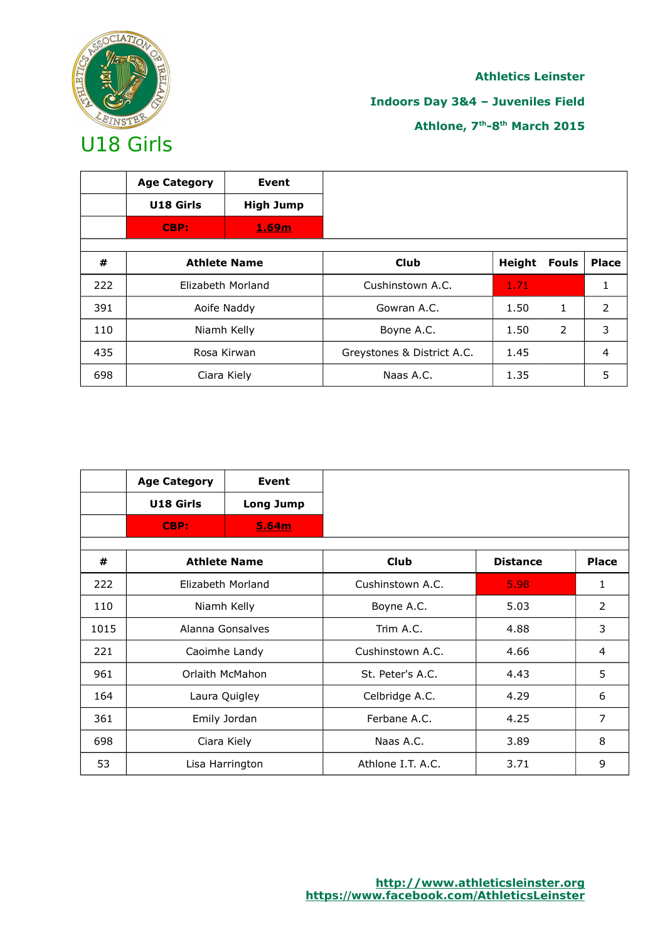

## **Indoors Day 3&4 – Juveniles Field**

|     | <b>Age Category</b> | Event               |                            |               |              |              |
|-----|---------------------|---------------------|----------------------------|---------------|--------------|--------------|
|     | U18 Girls           | <b>High Jump</b>    |                            |               |              |              |
|     | CBP:                | 1.69m               |                            |               |              |              |
|     |                     |                     |                            |               |              |              |
| #   |                     | <b>Athlete Name</b> | <b>Club</b>                | <b>Height</b> | <b>Fouls</b> | <b>Place</b> |
| 222 |                     | Elizabeth Morland   | Cushinstown A.C.           | 1.71          |              |              |
| 391 |                     | Aoife Naddy         | Gowran A.C.                | 1.50          | 1            | 2            |
| 110 |                     | Niamh Kelly         | Boyne A.C.                 | 1.50          | 2            | 3            |
| 435 |                     | Rosa Kirwan         | Greystones & District A.C. | 1.45          |              | 4            |
| 698 |                     | Ciara Kiely         | Naas A.C.                  | 1.35          |              | 5            |

|      | <b>Age Category</b> | Event               |                   |                 |                |
|------|---------------------|---------------------|-------------------|-----------------|----------------|
|      | U18 Girls           | <b>Long Jump</b>    |                   |                 |                |
|      | CBP:                | 5.64m               |                   |                 |                |
| #    |                     | <b>Athlete Name</b> | <b>Club</b>       | <b>Distance</b> | <b>Place</b>   |
|      |                     |                     |                   |                 |                |
| 222  |                     | Elizabeth Morland   | Cushinstown A.C.  | 5.98            | 1              |
| 110  | Niamh Kelly         |                     | Boyne A.C.        | 5.03            | 2              |
| 1015 | Alanna Gonsalves    |                     | Trim A.C.         | 4.88            | 3              |
| 221  | Caoimhe Landy       |                     | Cushinstown A.C.  | 4.66            | 4              |
| 961  | Orlaith McMahon     |                     | St. Peter's A.C.  | 4.43            | 5              |
| 164  | Laura Quigley       |                     | Celbridge A.C.    | 4.29            | 6              |
| 361  | Emily Jordan        |                     | Ferbane A.C.      | 4.25            | $\overline{7}$ |
| 698  |                     | Ciara Kiely         | Naas A.C.         | 3.89            | 8              |
| 53   |                     | Lisa Harrington     | Athlone I.T. A.C. | 3.71            | 9              |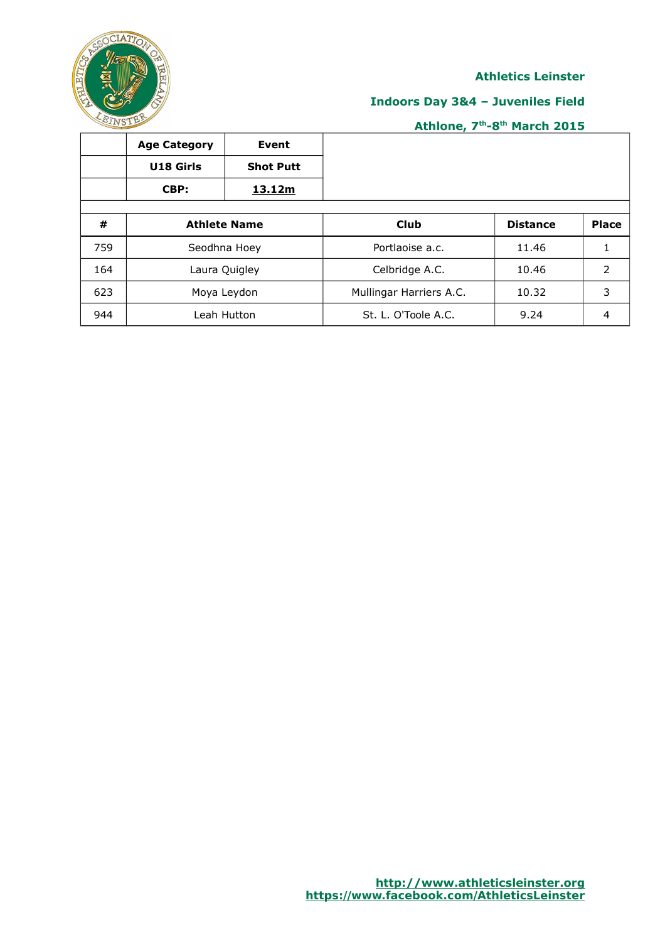

## **Indoors Day 3&4 – Juveniles Field**

|     | <b>Age Category</b> | Event               |                         |                 |              |
|-----|---------------------|---------------------|-------------------------|-----------------|--------------|
|     | U18 Girls           | <b>Shot Putt</b>    |                         |                 |              |
|     | CBP:                | 13.12m              |                         |                 |              |
|     |                     |                     |                         |                 |              |
| #   |                     | <b>Athlete Name</b> | <b>Club</b>             | <b>Distance</b> | <b>Place</b> |
| 759 |                     | Seodhna Hoey        | Portlaoise a.c.         | 11.46           |              |
| 164 | Laura Quigley       |                     | Celbridge A.C.          | 10.46           | 2            |
| 623 |                     | Moya Leydon         | Mullingar Harriers A.C. | 10.32           | 3            |
| 944 |                     | Leah Hutton         | St. L. O'Toole A.C.     | 9.24            | 4            |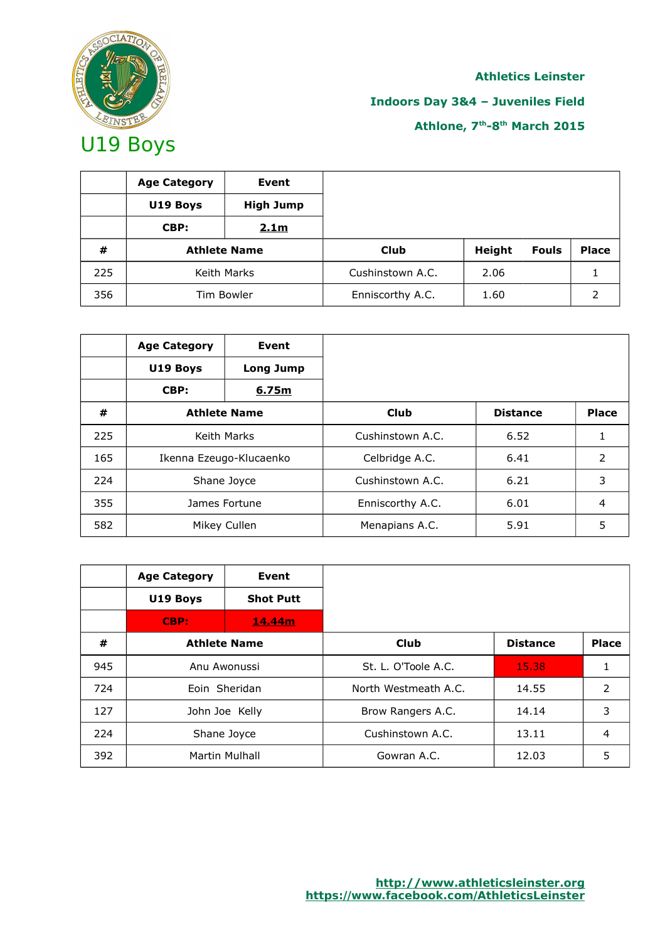

## **Indoors Day 3&4 – Juveniles Field**

|     | <b>Age Category</b> | Event            |                  |        |              |              |
|-----|---------------------|------------------|------------------|--------|--------------|--------------|
|     | U19 Boys            | <b>High Jump</b> |                  |        |              |              |
|     | CBP:                | 2.1m             |                  |        |              |              |
| #   | <b>Athlete Name</b> |                  | <b>Club</b>      | Height | <b>Fouls</b> | <b>Place</b> |
| 225 | Keith Marks         |                  | Cushinstown A.C. | 2.06   |              |              |
| 356 | Tim Bowler          |                  | Enniscorthy A.C. | 1.60   |              |              |

|     | <b>Age Category</b>     | Event            |                  |                 |              |
|-----|-------------------------|------------------|------------------|-----------------|--------------|
|     | U19 Boys                | <b>Long Jump</b> |                  |                 |              |
|     | CBP:                    | 6.75m            |                  |                 |              |
| #   | <b>Athlete Name</b>     |                  | <b>Club</b>      | <b>Distance</b> | <b>Place</b> |
| 225 | Keith Marks             |                  | Cushinstown A.C. | 6.52            |              |
| 165 | Ikenna Ezeugo-Klucaenko |                  | Celbridge A.C.   | 6.41            | 2            |
| 224 | Shane Joyce             |                  | Cushinstown A.C. | 6.21            | 3            |
| 355 | James Fortune           |                  | Enniscorthy A.C. | 6.01            | 4            |
| 582 |                         | Mikey Cullen     | Menapians A.C.   | 5.91            | 5            |

|     | <b>Age Category</b> | Event            |                      |                 |              |
|-----|---------------------|------------------|----------------------|-----------------|--------------|
|     | U19 Boys            | <b>Shot Putt</b> |                      |                 |              |
|     | CBP:                | 14.44m           |                      |                 |              |
| #   | <b>Athlete Name</b> |                  | <b>Club</b>          | <b>Distance</b> | <b>Place</b> |
| 945 |                     | Anu Awonussi     | St. L. O'Toole A.C.  | 15.38           | 1            |
| 724 | Eoin Sheridan       |                  | North Westmeath A.C. | 14.55           | 2            |
| 127 | John Joe Kelly      |                  | Brow Rangers A.C.    | 14.14           | 3            |
| 224 | Shane Joyce         |                  | Cushinstown A.C.     | 13.11           | 4            |
| 392 |                     | Martin Mulhall   | Gowran A.C.          | 12.03           | 5            |